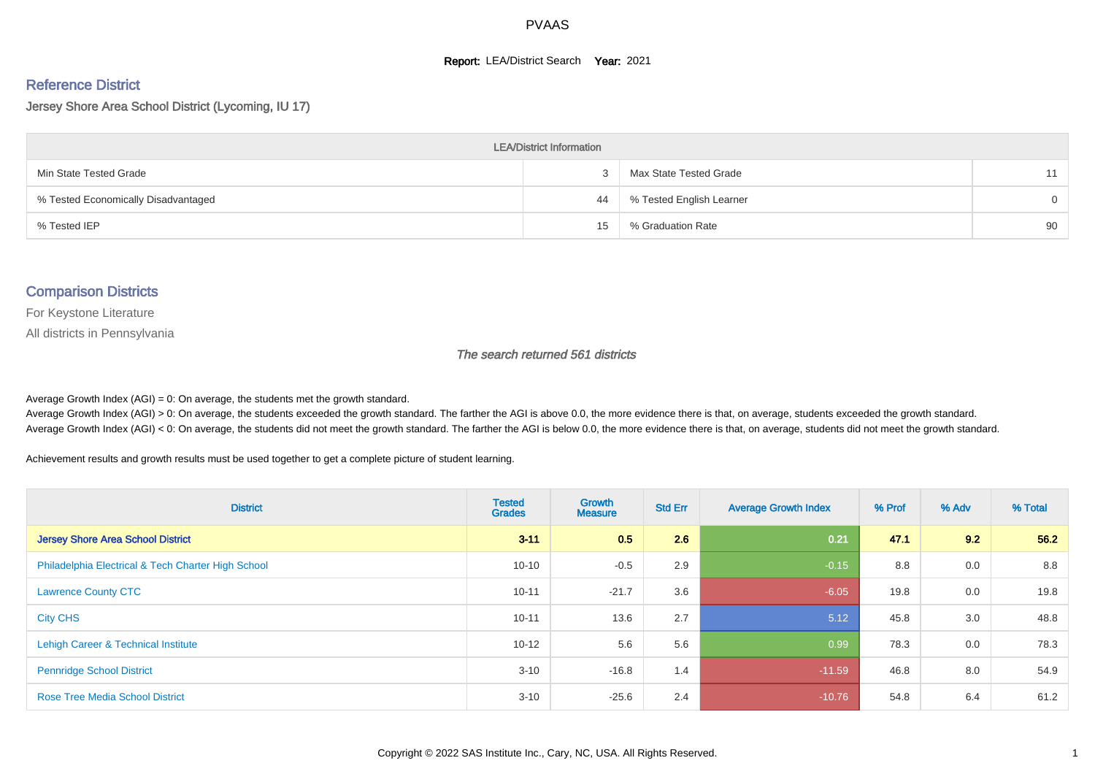#### **Report: LEA/District Search Year: 2021**

# Reference District

Jersey Shore Area School District (Lycoming, IU 17)

| <b>LEA/District Information</b>     |    |                          |          |  |  |  |  |  |  |  |
|-------------------------------------|----|--------------------------|----------|--|--|--|--|--|--|--|
| Min State Tested Grade              |    | Max State Tested Grade   | 11       |  |  |  |  |  |  |  |
| % Tested Economically Disadvantaged | 44 | % Tested English Learner | $\Omega$ |  |  |  |  |  |  |  |
| % Tested IEP                        | 15 | % Graduation Rate        | 90       |  |  |  |  |  |  |  |

#### Comparison Districts

For Keystone Literature

All districts in Pennsylvania

The search returned 561 districts

Average Growth Index  $(AGI) = 0$ : On average, the students met the growth standard.

Average Growth Index (AGI) > 0: On average, the students exceeded the growth standard. The farther the AGI is above 0.0, the more evidence there is that, on average, students exceeded the growth standard. Average Growth Index (AGI) < 0: On average, the students did not meet the growth standard. The farther the AGI is below 0.0, the more evidence there is that, on average, students did not meet the growth standard.

Achievement results and growth results must be used together to get a complete picture of student learning.

| <b>District</b>                                    | <b>Tested</b><br><b>Grades</b> | Growth<br><b>Measure</b> | <b>Std Err</b> | <b>Average Growth Index</b> | % Prof | % Adv | % Total |
|----------------------------------------------------|--------------------------------|--------------------------|----------------|-----------------------------|--------|-------|---------|
| <b>Jersey Shore Area School District</b>           | $3 - 11$                       | 0.5                      | 2.6            | 0.21                        | 47.1   | 9.2   | 56.2    |
| Philadelphia Electrical & Tech Charter High School | $10 - 10$                      | $-0.5$                   | 2.9            | $-0.15$                     | 8.8    | 0.0   | 8.8     |
| <b>Lawrence County CTC</b>                         | $10 - 11$                      | $-21.7$                  | 3.6            | $-6.05$                     | 19.8   | 0.0   | 19.8    |
| <b>City CHS</b>                                    | $10 - 11$                      | 13.6                     | 2.7            | 5.12                        | 45.8   | 3.0   | 48.8    |
| Lehigh Career & Technical Institute                | $10 - 12$                      | 5.6                      | 5.6            | 0.99                        | 78.3   | 0.0   | 78.3    |
| <b>Pennridge School District</b>                   | $3 - 10$                       | $-16.8$                  | 1.4            | $-11.59$                    | 46.8   | 8.0   | 54.9    |
| <b>Rose Tree Media School District</b>             | $3 - 10$                       | $-25.6$                  | 2.4            | $-10.76$                    | 54.8   | 6.4   | 61.2    |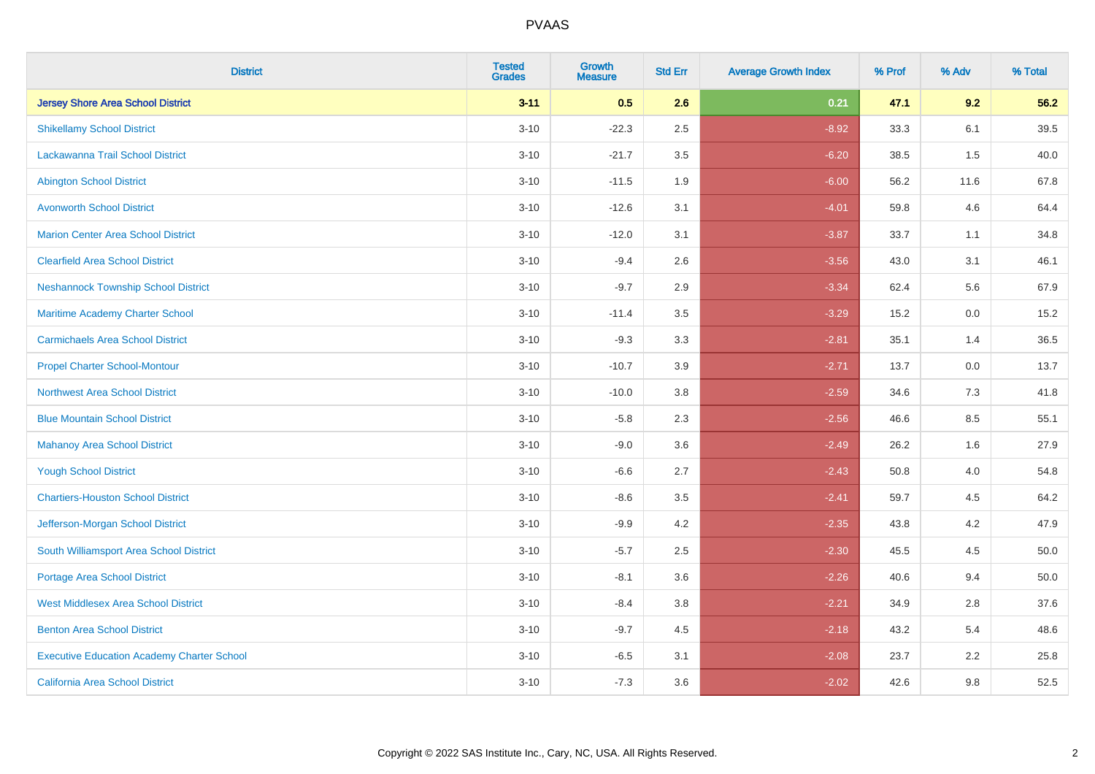| <b>District</b>                                   | <b>Tested</b><br><b>Grades</b> | <b>Growth</b><br><b>Measure</b> | <b>Std Err</b> | <b>Average Growth Index</b> | % Prof | % Adv | % Total  |
|---------------------------------------------------|--------------------------------|---------------------------------|----------------|-----------------------------|--------|-------|----------|
| <b>Jersey Shore Area School District</b>          | $3 - 11$                       | 0.5                             | 2.6            | 0.21                        | 47.1   | 9.2   | 56.2     |
| <b>Shikellamy School District</b>                 | $3 - 10$                       | $-22.3$                         | 2.5            | $-8.92$                     | 33.3   | 6.1   | 39.5     |
| Lackawanna Trail School District                  | $3 - 10$                       | $-21.7$                         | 3.5            | $-6.20$                     | 38.5   | 1.5   | 40.0     |
| <b>Abington School District</b>                   | $3 - 10$                       | $-11.5$                         | 1.9            | $-6.00$                     | 56.2   | 11.6  | 67.8     |
| <b>Avonworth School District</b>                  | $3 - 10$                       | $-12.6$                         | 3.1            | $-4.01$                     | 59.8   | 4.6   | 64.4     |
| <b>Marion Center Area School District</b>         | $3 - 10$                       | $-12.0$                         | 3.1            | $-3.87$                     | 33.7   | 1.1   | 34.8     |
| <b>Clearfield Area School District</b>            | $3 - 10$                       | $-9.4$                          | 2.6            | $-3.56$                     | 43.0   | 3.1   | 46.1     |
| <b>Neshannock Township School District</b>        | $3 - 10$                       | $-9.7$                          | 2.9            | $-3.34$                     | 62.4   | 5.6   | 67.9     |
| <b>Maritime Academy Charter School</b>            | $3 - 10$                       | $-11.4$                         | 3.5            | $-3.29$                     | 15.2   | 0.0   | 15.2     |
| <b>Carmichaels Area School District</b>           | $3 - 10$                       | $-9.3$                          | 3.3            | $-2.81$                     | 35.1   | 1.4   | 36.5     |
| <b>Propel Charter School-Montour</b>              | $3 - 10$                       | $-10.7$                         | 3.9            | $-2.71$                     | 13.7   | 0.0   | 13.7     |
| Northwest Area School District                    | $3 - 10$                       | $-10.0$                         | 3.8            | $-2.59$                     | 34.6   | 7.3   | 41.8     |
| <b>Blue Mountain School District</b>              | $3 - 10$                       | $-5.8$                          | 2.3            | $-2.56$                     | 46.6   | 8.5   | 55.1     |
| <b>Mahanoy Area School District</b>               | $3 - 10$                       | $-9.0$                          | 3.6            | $-2.49$                     | 26.2   | 1.6   | 27.9     |
| <b>Yough School District</b>                      | $3 - 10$                       | $-6.6$                          | 2.7            | $-2.43$                     | 50.8   | 4.0   | 54.8     |
| <b>Chartiers-Houston School District</b>          | $3 - 10$                       | $-8.6$                          | 3.5            | $-2.41$                     | 59.7   | 4.5   | 64.2     |
| Jefferson-Morgan School District                  | $3 - 10$                       | $-9.9$                          | 4.2            | $-2.35$                     | 43.8   | 4.2   | 47.9     |
| South Williamsport Area School District           | $3 - 10$                       | $-5.7$                          | 2.5            | $-2.30$                     | 45.5   | 4.5   | $50.0\,$ |
| <b>Portage Area School District</b>               | $3 - 10$                       | $-8.1$                          | 3.6            | $-2.26$                     | 40.6   | 9.4   | 50.0     |
| <b>West Middlesex Area School District</b>        | $3 - 10$                       | $-8.4$                          | 3.8            | $-2.21$                     | 34.9   | 2.8   | 37.6     |
| <b>Benton Area School District</b>                | $3 - 10$                       | $-9.7$                          | 4.5            | $-2.18$                     | 43.2   | 5.4   | 48.6     |
| <b>Executive Education Academy Charter School</b> | $3 - 10$                       | $-6.5$                          | 3.1            | $-2.08$                     | 23.7   | 2.2   | 25.8     |
| <b>California Area School District</b>            | $3 - 10$                       | $-7.3$                          | 3.6            | $-2.02$                     | 42.6   | 9.8   | 52.5     |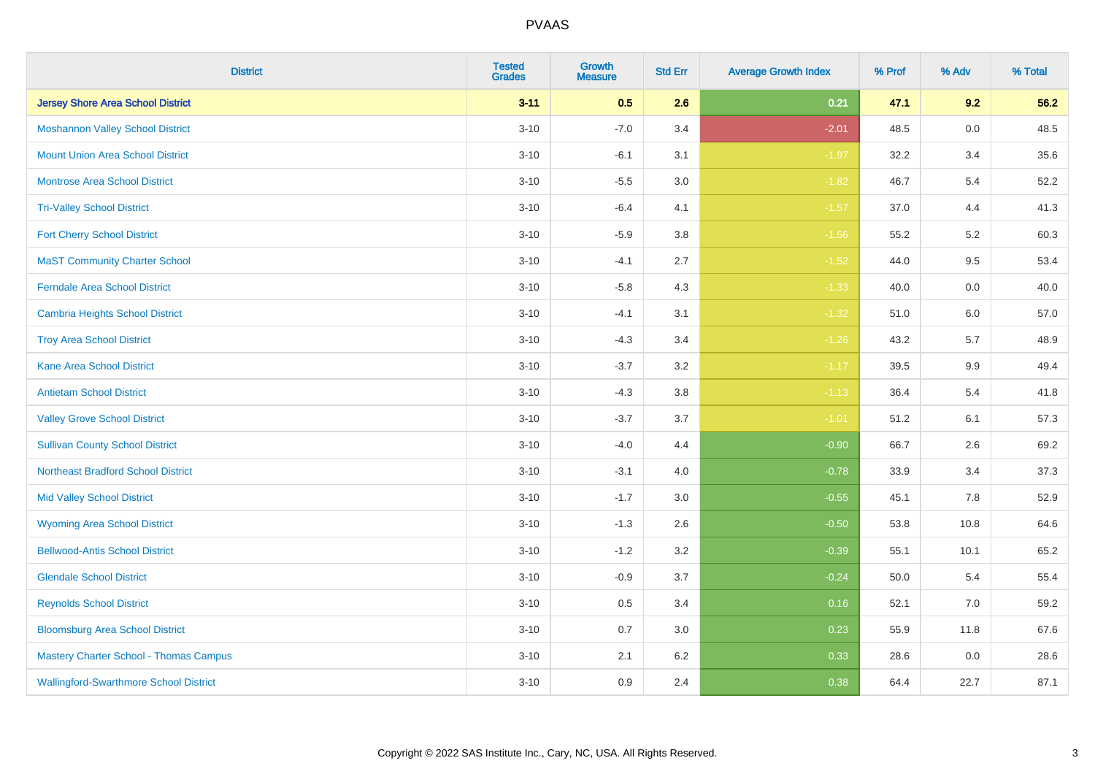| <b>District</b>                               | <b>Tested</b><br><b>Grades</b> | <b>Growth</b><br><b>Measure</b> | <b>Std Err</b> | <b>Average Growth Index</b> | % Prof | % Adv   | % Total |
|-----------------------------------------------|--------------------------------|---------------------------------|----------------|-----------------------------|--------|---------|---------|
| <b>Jersey Shore Area School District</b>      | $3 - 11$                       | 0.5                             | 2.6            | 0.21                        | 47.1   | 9.2     | 56.2    |
| <b>Moshannon Valley School District</b>       | $3 - 10$                       | $-7.0$                          | 3.4            | $-2.01$                     | 48.5   | $0.0\,$ | 48.5    |
| <b>Mount Union Area School District</b>       | $3 - 10$                       | $-6.1$                          | 3.1            | $-1.97$                     | 32.2   | 3.4     | 35.6    |
| <b>Montrose Area School District</b>          | $3 - 10$                       | $-5.5$                          | $3.0\,$        | $-1.82$                     | 46.7   | 5.4     | 52.2    |
| <b>Tri-Valley School District</b>             | $3 - 10$                       | $-6.4$                          | 4.1            | $-1.57$                     | 37.0   | 4.4     | 41.3    |
| <b>Fort Cherry School District</b>            | $3 - 10$                       | $-5.9$                          | 3.8            | $-1.56$                     | 55.2   | 5.2     | 60.3    |
| <b>MaST Community Charter School</b>          | $3 - 10$                       | $-4.1$                          | 2.7            | $-1.52$                     | 44.0   | 9.5     | 53.4    |
| <b>Ferndale Area School District</b>          | $3 - 10$                       | $-5.8$                          | 4.3            | $-1.33$                     | 40.0   | 0.0     | 40.0    |
| <b>Cambria Heights School District</b>        | $3 - 10$                       | $-4.1$                          | 3.1            | $-1.32$                     | 51.0   | 6.0     | 57.0    |
| <b>Troy Area School District</b>              | $3 - 10$                       | $-4.3$                          | 3.4            | $-1.26$                     | 43.2   | 5.7     | 48.9    |
| <b>Kane Area School District</b>              | $3 - 10$                       | $-3.7$                          | 3.2            | $-1.17$                     | 39.5   | 9.9     | 49.4    |
| <b>Antietam School District</b>               | $3 - 10$                       | $-4.3$                          | 3.8            | $-1.13$                     | 36.4   | 5.4     | 41.8    |
| <b>Valley Grove School District</b>           | $3 - 10$                       | $-3.7$                          | 3.7            | $-1.01$                     | 51.2   | 6.1     | 57.3    |
| <b>Sullivan County School District</b>        | $3 - 10$                       | $-4.0$                          | 4.4            | $-0.90$                     | 66.7   | 2.6     | 69.2    |
| <b>Northeast Bradford School District</b>     | $3 - 10$                       | $-3.1$                          | 4.0            | $-0.78$                     | 33.9   | 3.4     | 37.3    |
| <b>Mid Valley School District</b>             | $3 - 10$                       | $-1.7$                          | 3.0            | $-0.55$                     | 45.1   | 7.8     | 52.9    |
| <b>Wyoming Area School District</b>           | $3 - 10$                       | $-1.3$                          | 2.6            | $-0.50$                     | 53.8   | 10.8    | 64.6    |
| <b>Bellwood-Antis School District</b>         | $3 - 10$                       | $-1.2$                          | 3.2            | $-0.39$                     | 55.1   | 10.1    | 65.2    |
| <b>Glendale School District</b>               | $3 - 10$                       | $-0.9$                          | 3.7            | $-0.24$                     | 50.0   | 5.4     | 55.4    |
| <b>Reynolds School District</b>               | $3 - 10$                       | 0.5                             | 3.4            | 0.16                        | 52.1   | $7.0\,$ | 59.2    |
| <b>Bloomsburg Area School District</b>        | $3 - 10$                       | 0.7                             | 3.0            | 0.23                        | 55.9   | 11.8    | 67.6    |
| <b>Mastery Charter School - Thomas Campus</b> | $3 - 10$                       | 2.1                             | 6.2            | 0.33                        | 28.6   | 0.0     | 28.6    |
| <b>Wallingford-Swarthmore School District</b> | $3 - 10$                       | 0.9                             | 2.4            | 0.38                        | 64.4   | 22.7    | 87.1    |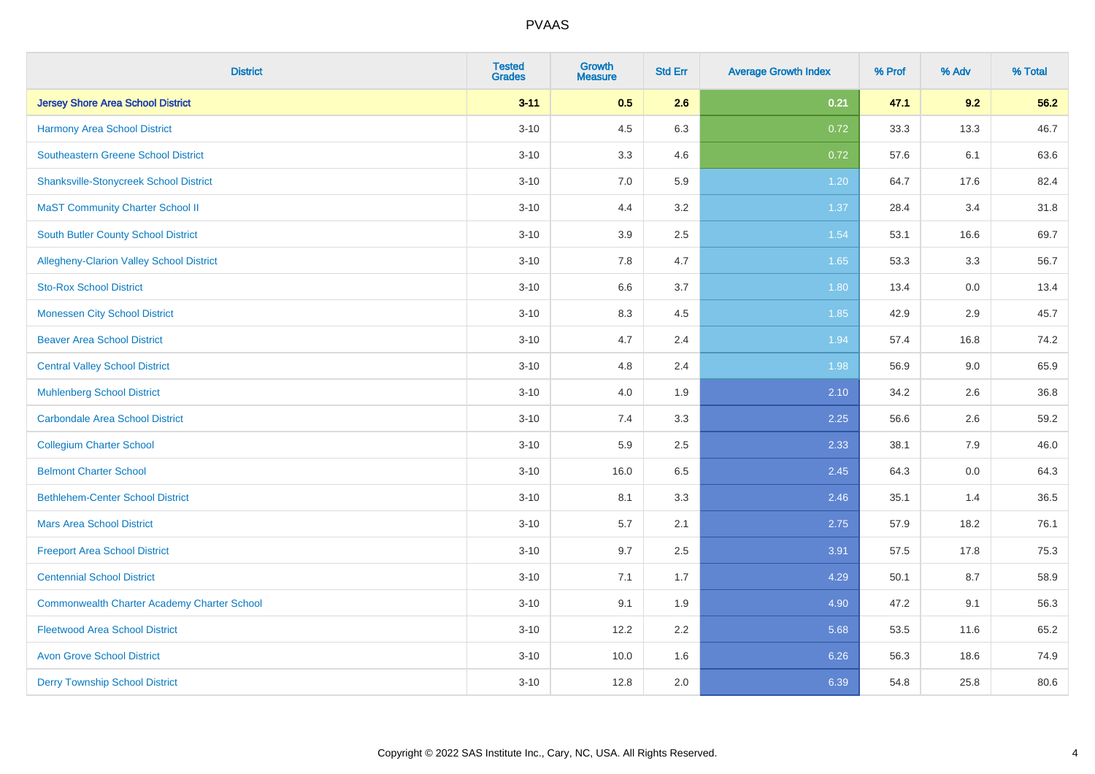| <b>District</b>                                    | <b>Tested</b><br><b>Grades</b> | <b>Growth</b><br><b>Measure</b> | <b>Std Err</b> | <b>Average Growth Index</b> | % Prof | % Adv | % Total |
|----------------------------------------------------|--------------------------------|---------------------------------|----------------|-----------------------------|--------|-------|---------|
| <b>Jersey Shore Area School District</b>           | $3 - 11$                       | 0.5                             | 2.6            | 0.21                        | 47.1   | 9.2   | 56.2    |
| <b>Harmony Area School District</b>                | $3 - 10$                       | 4.5                             | 6.3            | 0.72                        | 33.3   | 13.3  | 46.7    |
| <b>Southeastern Greene School District</b>         | $3 - 10$                       | 3.3                             | 4.6            | 0.72                        | 57.6   | 6.1   | 63.6    |
| <b>Shanksville-Stonycreek School District</b>      | $3 - 10$                       | 7.0                             | 5.9            | 1.20                        | 64.7   | 17.6  | 82.4    |
| <b>MaST Community Charter School II</b>            | $3 - 10$                       | 4.4                             | 3.2            | 1.37                        | 28.4   | 3.4   | 31.8    |
| <b>South Butler County School District</b>         | $3 - 10$                       | 3.9                             | 2.5            | 1.54                        | 53.1   | 16.6  | 69.7    |
| Allegheny-Clarion Valley School District           | $3 - 10$                       | 7.8                             | 4.7            | 1.65                        | 53.3   | 3.3   | 56.7    |
| <b>Sto-Rox School District</b>                     | $3 - 10$                       | 6.6                             | 3.7            | 1.80                        | 13.4   | 0.0   | 13.4    |
| <b>Monessen City School District</b>               | $3 - 10$                       | 8.3                             | 4.5            | 1.85                        | 42.9   | 2.9   | 45.7    |
| <b>Beaver Area School District</b>                 | $3 - 10$                       | 4.7                             | 2.4            | 1.94                        | 57.4   | 16.8  | 74.2    |
| <b>Central Valley School District</b>              | $3 - 10$                       | 4.8                             | 2.4            | 1.98                        | 56.9   | 9.0   | 65.9    |
| <b>Muhlenberg School District</b>                  | $3 - 10$                       | 4.0                             | 1.9            | 2.10                        | 34.2   | 2.6   | 36.8    |
| Carbondale Area School District                    | $3 - 10$                       | 7.4                             | 3.3            | 2.25                        | 56.6   | 2.6   | 59.2    |
| <b>Collegium Charter School</b>                    | $3 - 10$                       | 5.9                             | 2.5            | 2.33                        | 38.1   | 7.9   | 46.0    |
| <b>Belmont Charter School</b>                      | $3 - 10$                       | 16.0                            | 6.5            | 2.45                        | 64.3   | 0.0   | 64.3    |
| <b>Bethlehem-Center School District</b>            | $3 - 10$                       | 8.1                             | 3.3            | 2.46                        | 35.1   | 1.4   | 36.5    |
| <b>Mars Area School District</b>                   | $3 - 10$                       | 5.7                             | 2.1            | 2.75                        | 57.9   | 18.2  | 76.1    |
| <b>Freeport Area School District</b>               | $3 - 10$                       | 9.7                             | 2.5            | 3.91                        | 57.5   | 17.8  | 75.3    |
| <b>Centennial School District</b>                  | $3 - 10$                       | 7.1                             | 1.7            | 4.29                        | 50.1   | 8.7   | 58.9    |
| <b>Commonwealth Charter Academy Charter School</b> | $3 - 10$                       | 9.1                             | 1.9            | 4.90                        | 47.2   | 9.1   | 56.3    |
| <b>Fleetwood Area School District</b>              | $3 - 10$                       | 12.2                            | 2.2            | 5.68                        | 53.5   | 11.6  | 65.2    |
| <b>Avon Grove School District</b>                  | $3 - 10$                       | 10.0                            | 1.6            | 6.26                        | 56.3   | 18.6  | 74.9    |
| <b>Derry Township School District</b>              | $3 - 10$                       | 12.8                            | 2.0            | 6.39                        | 54.8   | 25.8  | 80.6    |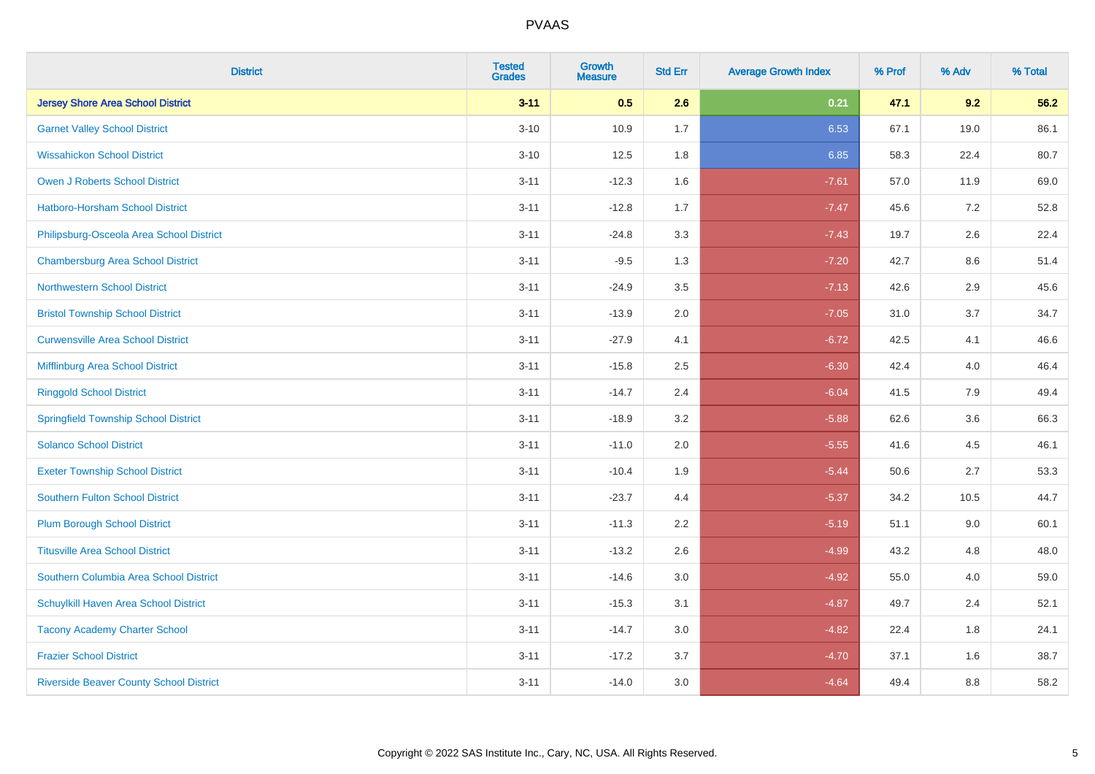| <b>District</b>                                | <b>Tested</b><br><b>Grades</b> | <b>Growth</b><br><b>Measure</b> | <b>Std Err</b> | <b>Average Growth Index</b> | % Prof | % Adv | % Total |
|------------------------------------------------|--------------------------------|---------------------------------|----------------|-----------------------------|--------|-------|---------|
| <b>Jersey Shore Area School District</b>       | $3 - 11$                       | 0.5                             | 2.6            | 0.21                        | 47.1   | 9.2   | 56.2    |
| <b>Garnet Valley School District</b>           | $3 - 10$                       | 10.9                            | 1.7            | 6.53                        | 67.1   | 19.0  | 86.1    |
| <b>Wissahickon School District</b>             | $3 - 10$                       | 12.5                            | 1.8            | 6.85                        | 58.3   | 22.4  | 80.7    |
| <b>Owen J Roberts School District</b>          | $3 - 11$                       | $-12.3$                         | 1.6            | $-7.61$                     | 57.0   | 11.9  | 69.0    |
| Hatboro-Horsham School District                | $3 - 11$                       | $-12.8$                         | 1.7            | $-7.47$                     | 45.6   | 7.2   | 52.8    |
| Philipsburg-Osceola Area School District       | $3 - 11$                       | $-24.8$                         | 3.3            | $-7.43$                     | 19.7   | 2.6   | 22.4    |
| <b>Chambersburg Area School District</b>       | $3 - 11$                       | $-9.5$                          | 1.3            | $-7.20$                     | 42.7   | 8.6   | 51.4    |
| <b>Northwestern School District</b>            | $3 - 11$                       | $-24.9$                         | 3.5            | $-7.13$                     | 42.6   | 2.9   | 45.6    |
| <b>Bristol Township School District</b>        | $3 - 11$                       | $-13.9$                         | 2.0            | $-7.05$                     | 31.0   | 3.7   | 34.7    |
| <b>Curwensville Area School District</b>       | $3 - 11$                       | $-27.9$                         | 4.1            | $-6.72$                     | 42.5   | 4.1   | 46.6    |
| Mifflinburg Area School District               | $3 - 11$                       | $-15.8$                         | 2.5            | $-6.30$                     | 42.4   | 4.0   | 46.4    |
| <b>Ringgold School District</b>                | $3 - 11$                       | $-14.7$                         | 2.4            | $-6.04$                     | 41.5   | 7.9   | 49.4    |
| <b>Springfield Township School District</b>    | $3 - 11$                       | $-18.9$                         | 3.2            | $-5.88$                     | 62.6   | 3.6   | 66.3    |
| <b>Solanco School District</b>                 | $3 - 11$                       | $-11.0$                         | 2.0            | $-5.55$                     | 41.6   | 4.5   | 46.1    |
| <b>Exeter Township School District</b>         | $3 - 11$                       | $-10.4$                         | 1.9            | $-5.44$                     | 50.6   | 2.7   | 53.3    |
| <b>Southern Fulton School District</b>         | $3 - 11$                       | $-23.7$                         | 4.4            | $-5.37$                     | 34.2   | 10.5  | 44.7    |
| <b>Plum Borough School District</b>            | $3 - 11$                       | $-11.3$                         | 2.2            | $-5.19$                     | 51.1   | 9.0   | 60.1    |
| <b>Titusville Area School District</b>         | $3 - 11$                       | $-13.2$                         | 2.6            | $-4.99$                     | 43.2   | 4.8   | 48.0    |
| Southern Columbia Area School District         | $3 - 11$                       | $-14.6$                         | 3.0            | $-4.92$                     | 55.0   | 4.0   | 59.0    |
| Schuylkill Haven Area School District          | $3 - 11$                       | $-15.3$                         | 3.1            | $-4.87$                     | 49.7   | 2.4   | 52.1    |
| <b>Tacony Academy Charter School</b>           | $3 - 11$                       | $-14.7$                         | 3.0            | $-4.82$                     | 22.4   | 1.8   | 24.1    |
| <b>Frazier School District</b>                 | $3 - 11$                       | $-17.2$                         | 3.7            | $-4.70$                     | 37.1   | 1.6   | 38.7    |
| <b>Riverside Beaver County School District</b> | $3 - 11$                       | $-14.0$                         | 3.0            | $-4.64$                     | 49.4   | 8.8   | 58.2    |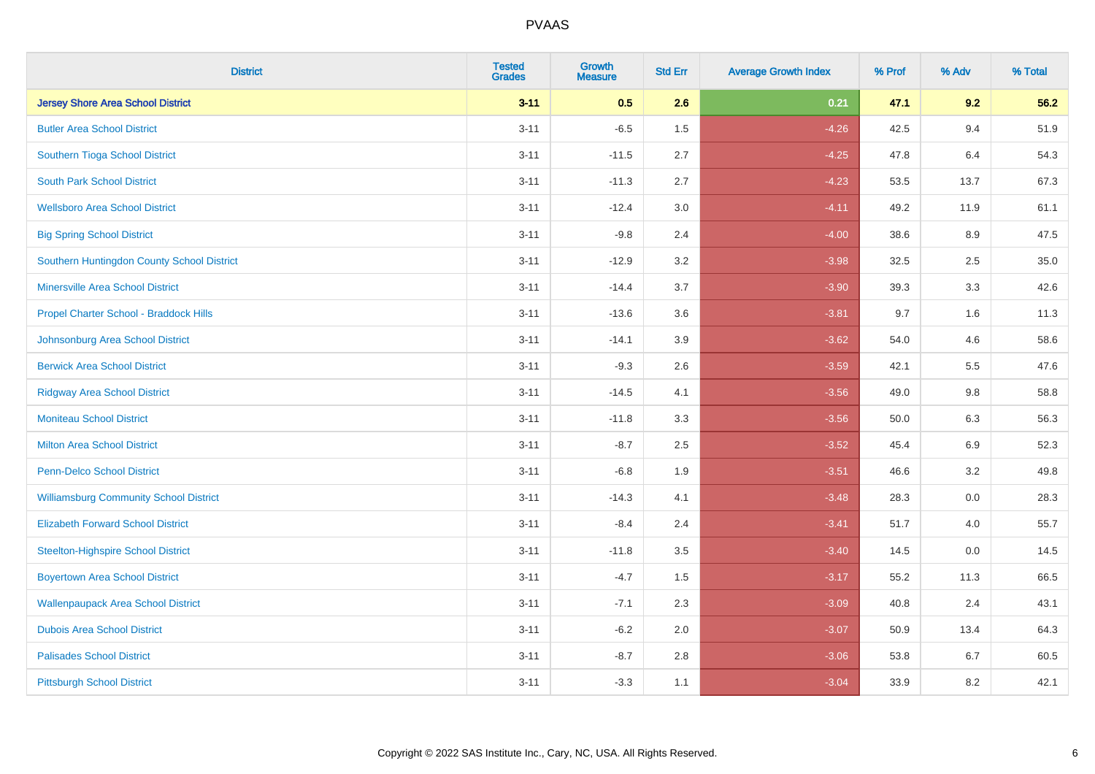| <b>District</b>                               | <b>Tested</b><br><b>Grades</b> | <b>Growth</b><br><b>Measure</b> | <b>Std Err</b> | <b>Average Growth Index</b> | % Prof | % Adv   | % Total |
|-----------------------------------------------|--------------------------------|---------------------------------|----------------|-----------------------------|--------|---------|---------|
| <b>Jersey Shore Area School District</b>      | $3 - 11$                       | 0.5                             | 2.6            | 0.21                        | 47.1   | 9.2     | 56.2    |
| <b>Butler Area School District</b>            | $3 - 11$                       | $-6.5$                          | 1.5            | $-4.26$                     | 42.5   | 9.4     | 51.9    |
| Southern Tioga School District                | $3 - 11$                       | $-11.5$                         | 2.7            | $-4.25$                     | 47.8   | 6.4     | 54.3    |
| <b>South Park School District</b>             | $3 - 11$                       | $-11.3$                         | 2.7            | $-4.23$                     | 53.5   | 13.7    | 67.3    |
| <b>Wellsboro Area School District</b>         | $3 - 11$                       | $-12.4$                         | 3.0            | $-4.11$                     | 49.2   | 11.9    | 61.1    |
| <b>Big Spring School District</b>             | $3 - 11$                       | $-9.8$                          | 2.4            | $-4.00$                     | 38.6   | 8.9     | 47.5    |
| Southern Huntingdon County School District    | $3 - 11$                       | $-12.9$                         | 3.2            | $-3.98$                     | 32.5   | 2.5     | 35.0    |
| <b>Minersville Area School District</b>       | $3 - 11$                       | $-14.4$                         | 3.7            | $-3.90$                     | 39.3   | 3.3     | 42.6    |
| Propel Charter School - Braddock Hills        | $3 - 11$                       | $-13.6$                         | 3.6            | $-3.81$                     | 9.7    | 1.6     | 11.3    |
| Johnsonburg Area School District              | $3 - 11$                       | $-14.1$                         | 3.9            | $-3.62$                     | 54.0   | 4.6     | 58.6    |
| <b>Berwick Area School District</b>           | $3 - 11$                       | $-9.3$                          | 2.6            | $-3.59$                     | 42.1   | 5.5     | 47.6    |
| <b>Ridgway Area School District</b>           | $3 - 11$                       | $-14.5$                         | 4.1            | $-3.56$                     | 49.0   | 9.8     | 58.8    |
| <b>Moniteau School District</b>               | $3 - 11$                       | $-11.8$                         | 3.3            | $-3.56$                     | 50.0   | $6.3\,$ | 56.3    |
| <b>Milton Area School District</b>            | $3 - 11$                       | $-8.7$                          | 2.5            | $-3.52$                     | 45.4   | 6.9     | 52.3    |
| <b>Penn-Delco School District</b>             | $3 - 11$                       | $-6.8$                          | 1.9            | $-3.51$                     | 46.6   | 3.2     | 49.8    |
| <b>Williamsburg Community School District</b> | $3 - 11$                       | $-14.3$                         | 4.1            | $-3.48$                     | 28.3   | $0.0\,$ | 28.3    |
| <b>Elizabeth Forward School District</b>      | $3 - 11$                       | $-8.4$                          | 2.4            | $-3.41$                     | 51.7   | 4.0     | 55.7    |
| <b>Steelton-Highspire School District</b>     | $3 - 11$                       | $-11.8$                         | 3.5            | $-3.40$                     | 14.5   | 0.0     | 14.5    |
| <b>Boyertown Area School District</b>         | $3 - 11$                       | $-4.7$                          | 1.5            | $-3.17$                     | 55.2   | 11.3    | 66.5    |
| <b>Wallenpaupack Area School District</b>     | $3 - 11$                       | $-7.1$                          | 2.3            | $-3.09$                     | 40.8   | 2.4     | 43.1    |
| <b>Dubois Area School District</b>            | $3 - 11$                       | $-6.2$                          | 2.0            | $-3.07$                     | 50.9   | 13.4    | 64.3    |
| <b>Palisades School District</b>              | $3 - 11$                       | $-8.7$                          | 2.8            | $-3.06$                     | 53.8   | 6.7     | 60.5    |
| <b>Pittsburgh School District</b>             | $3 - 11$                       | $-3.3$                          | 1.1            | $-3.04$                     | 33.9   | 8.2     | 42.1    |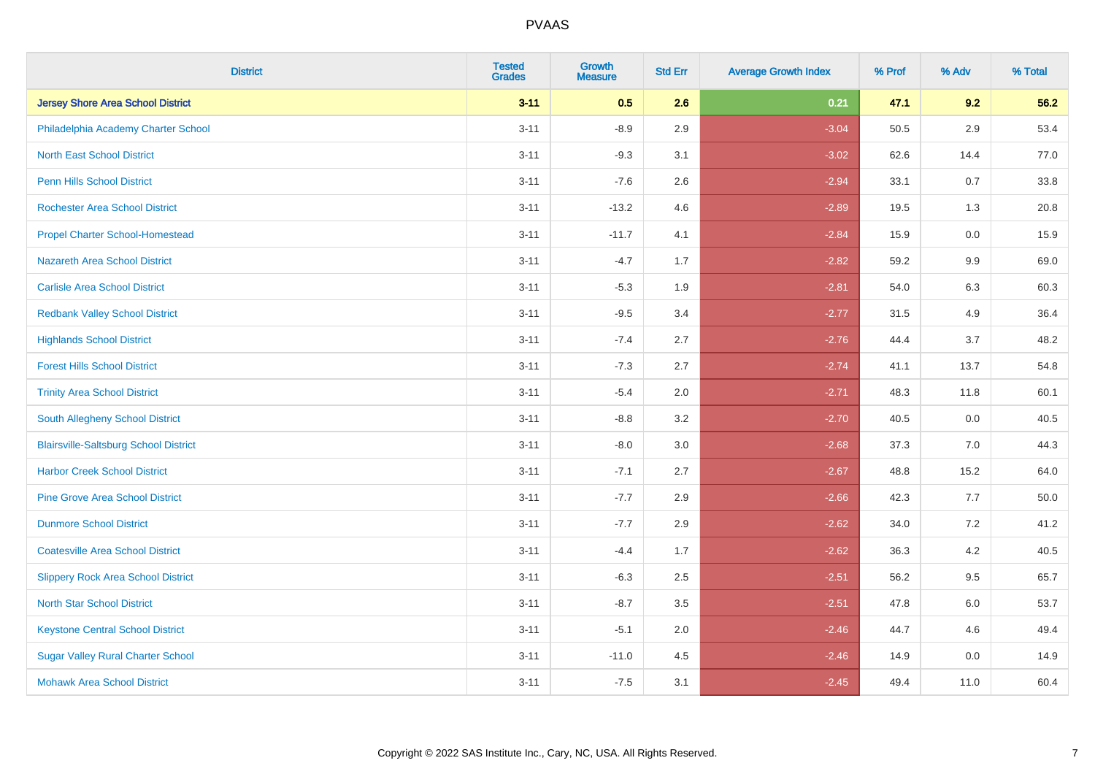| <b>District</b>                              | <b>Tested</b><br><b>Grades</b> | <b>Growth</b><br><b>Measure</b> | <b>Std Err</b> | <b>Average Growth Index</b> | % Prof | % Adv   | % Total |
|----------------------------------------------|--------------------------------|---------------------------------|----------------|-----------------------------|--------|---------|---------|
| <b>Jersey Shore Area School District</b>     | $3 - 11$                       | 0.5                             | 2.6            | 0.21                        | 47.1   | 9.2     | 56.2    |
| Philadelphia Academy Charter School          | $3 - 11$                       | $-8.9$                          | 2.9            | $-3.04$                     | 50.5   | 2.9     | 53.4    |
| <b>North East School District</b>            | $3 - 11$                       | $-9.3$                          | 3.1            | $-3.02$                     | 62.6   | 14.4    | 77.0    |
| <b>Penn Hills School District</b>            | $3 - 11$                       | $-7.6$                          | 2.6            | $-2.94$                     | 33.1   | 0.7     | 33.8    |
| <b>Rochester Area School District</b>        | $3 - 11$                       | $-13.2$                         | 4.6            | $-2.89$                     | 19.5   | 1.3     | 20.8    |
| <b>Propel Charter School-Homestead</b>       | $3 - 11$                       | $-11.7$                         | 4.1            | $-2.84$                     | 15.9   | 0.0     | 15.9    |
| <b>Nazareth Area School District</b>         | $3 - 11$                       | $-4.7$                          | 1.7            | $-2.82$                     | 59.2   | 9.9     | 69.0    |
| <b>Carlisle Area School District</b>         | $3 - 11$                       | $-5.3$                          | 1.9            | $-2.81$                     | 54.0   | 6.3     | 60.3    |
| <b>Redbank Valley School District</b>        | $3 - 11$                       | $-9.5$                          | 3.4            | $-2.77$                     | 31.5   | 4.9     | 36.4    |
| <b>Highlands School District</b>             | $3 - 11$                       | $-7.4$                          | 2.7            | $-2.76$                     | 44.4   | 3.7     | 48.2    |
| <b>Forest Hills School District</b>          | $3 - 11$                       | $-7.3$                          | 2.7            | $-2.74$                     | 41.1   | 13.7    | 54.8    |
| <b>Trinity Area School District</b>          | $3 - 11$                       | $-5.4$                          | 2.0            | $-2.71$                     | 48.3   | 11.8    | 60.1    |
| South Allegheny School District              | $3 - 11$                       | $-8.8$                          | 3.2            | $-2.70$                     | 40.5   | $0.0\,$ | 40.5    |
| <b>Blairsville-Saltsburg School District</b> | $3 - 11$                       | $-8.0$                          | 3.0            | $-2.68$                     | 37.3   | 7.0     | 44.3    |
| <b>Harbor Creek School District</b>          | $3 - 11$                       | $-7.1$                          | 2.7            | $-2.67$                     | 48.8   | 15.2    | 64.0    |
| <b>Pine Grove Area School District</b>       | $3 - 11$                       | $-7.7$                          | 2.9            | $-2.66$                     | 42.3   | $7.7$   | 50.0    |
| <b>Dunmore School District</b>               | $3 - 11$                       | $-7.7$                          | 2.9            | $-2.62$                     | 34.0   | 7.2     | 41.2    |
| <b>Coatesville Area School District</b>      | $3 - 11$                       | $-4.4$                          | 1.7            | $-2.62$                     | 36.3   | 4.2     | 40.5    |
| <b>Slippery Rock Area School District</b>    | $3 - 11$                       | $-6.3$                          | 2.5            | $-2.51$                     | 56.2   | 9.5     | 65.7    |
| <b>North Star School District</b>            | $3 - 11$                       | $-8.7$                          | 3.5            | $-2.51$                     | 47.8   | 6.0     | 53.7    |
| <b>Keystone Central School District</b>      | $3 - 11$                       | $-5.1$                          | 2.0            | $-2.46$                     | 44.7   | 4.6     | 49.4    |
| <b>Sugar Valley Rural Charter School</b>     | $3 - 11$                       | $-11.0$                         | 4.5            | $-2.46$                     | 14.9   | $0.0\,$ | 14.9    |
| <b>Mohawk Area School District</b>           | $3 - 11$                       | $-7.5$                          | 3.1            | $-2.45$                     | 49.4   | 11.0    | 60.4    |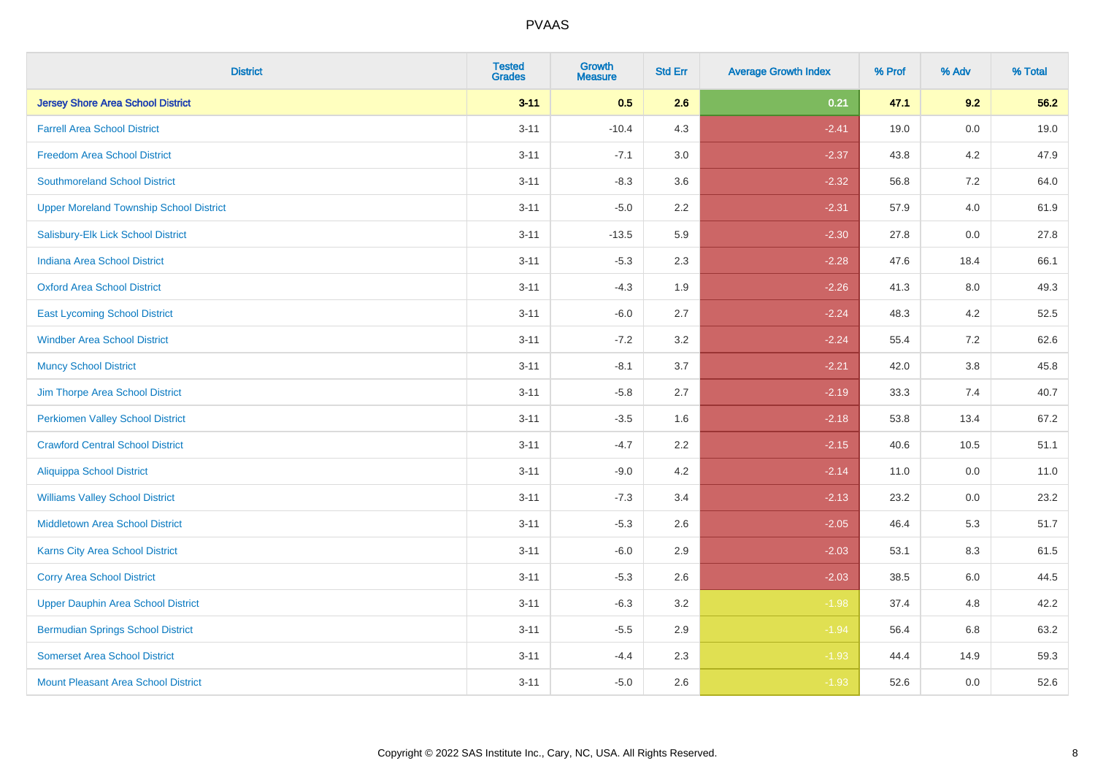| <b>District</b>                                | <b>Tested</b><br><b>Grades</b> | <b>Growth</b><br><b>Measure</b> | <b>Std Err</b> | <b>Average Growth Index</b> | % Prof | % Adv | % Total |
|------------------------------------------------|--------------------------------|---------------------------------|----------------|-----------------------------|--------|-------|---------|
| <b>Jersey Shore Area School District</b>       | $3 - 11$                       | 0.5                             | 2.6            | 0.21                        | 47.1   | 9.2   | 56.2    |
| <b>Farrell Area School District</b>            | $3 - 11$                       | $-10.4$                         | 4.3            | $-2.41$                     | 19.0   | 0.0   | 19.0    |
| <b>Freedom Area School District</b>            | $3 - 11$                       | $-7.1$                          | 3.0            | $-2.37$                     | 43.8   | 4.2   | 47.9    |
| <b>Southmoreland School District</b>           | $3 - 11$                       | $-8.3$                          | 3.6            | $-2.32$                     | 56.8   | 7.2   | 64.0    |
| <b>Upper Moreland Township School District</b> | $3 - 11$                       | $-5.0$                          | 2.2            | $-2.31$                     | 57.9   | 4.0   | 61.9    |
| Salisbury-Elk Lick School District             | $3 - 11$                       | $-13.5$                         | 5.9            | $-2.30$                     | 27.8   | 0.0   | 27.8    |
| <b>Indiana Area School District</b>            | $3 - 11$                       | $-5.3$                          | 2.3            | $-2.28$                     | 47.6   | 18.4  | 66.1    |
| <b>Oxford Area School District</b>             | $3 - 11$                       | $-4.3$                          | 1.9            | $-2.26$                     | 41.3   | 8.0   | 49.3    |
| <b>East Lycoming School District</b>           | $3 - 11$                       | $-6.0$                          | 2.7            | $-2.24$                     | 48.3   | 4.2   | 52.5    |
| <b>Windber Area School District</b>            | $3 - 11$                       | $-7.2$                          | 3.2            | $-2.24$                     | 55.4   | 7.2   | 62.6    |
| <b>Muncy School District</b>                   | $3 - 11$                       | $-8.1$                          | 3.7            | $-2.21$                     | 42.0   | 3.8   | 45.8    |
| Jim Thorpe Area School District                | $3 - 11$                       | $-5.8$                          | 2.7            | $-2.19$                     | 33.3   | 7.4   | 40.7    |
| <b>Perkiomen Valley School District</b>        | $3 - 11$                       | $-3.5$                          | 1.6            | $-2.18$                     | 53.8   | 13.4  | 67.2    |
| <b>Crawford Central School District</b>        | $3 - 11$                       | $-4.7$                          | 2.2            | $-2.15$                     | 40.6   | 10.5  | 51.1    |
| <b>Aliquippa School District</b>               | $3 - 11$                       | $-9.0$                          | 4.2            | $-2.14$                     | 11.0   | 0.0   | 11.0    |
| <b>Williams Valley School District</b>         | $3 - 11$                       | $-7.3$                          | 3.4            | $-2.13$                     | 23.2   | 0.0   | 23.2    |
| <b>Middletown Area School District</b>         | $3 - 11$                       | $-5.3$                          | 2.6            | $-2.05$                     | 46.4   | 5.3   | 51.7    |
| Karns City Area School District                | $3 - 11$                       | $-6.0$                          | 2.9            | $-2.03$                     | 53.1   | 8.3   | 61.5    |
| <b>Corry Area School District</b>              | $3 - 11$                       | $-5.3$                          | 2.6            | $-2.03$                     | 38.5   | 6.0   | 44.5    |
| <b>Upper Dauphin Area School District</b>      | $3 - 11$                       | $-6.3$                          | 3.2            | $-1.98$                     | 37.4   | 4.8   | 42.2    |
| <b>Bermudian Springs School District</b>       | $3 - 11$                       | $-5.5$                          | 2.9            | $-1.94$                     | 56.4   | 6.8   | 63.2    |
| <b>Somerset Area School District</b>           | $3 - 11$                       | $-4.4$                          | 2.3            | $-1.93$                     | 44.4   | 14.9  | 59.3    |
| Mount Pleasant Area School District            | $3 - 11$                       | $-5.0$                          | 2.6            | $-1.93$                     | 52.6   | 0.0   | 52.6    |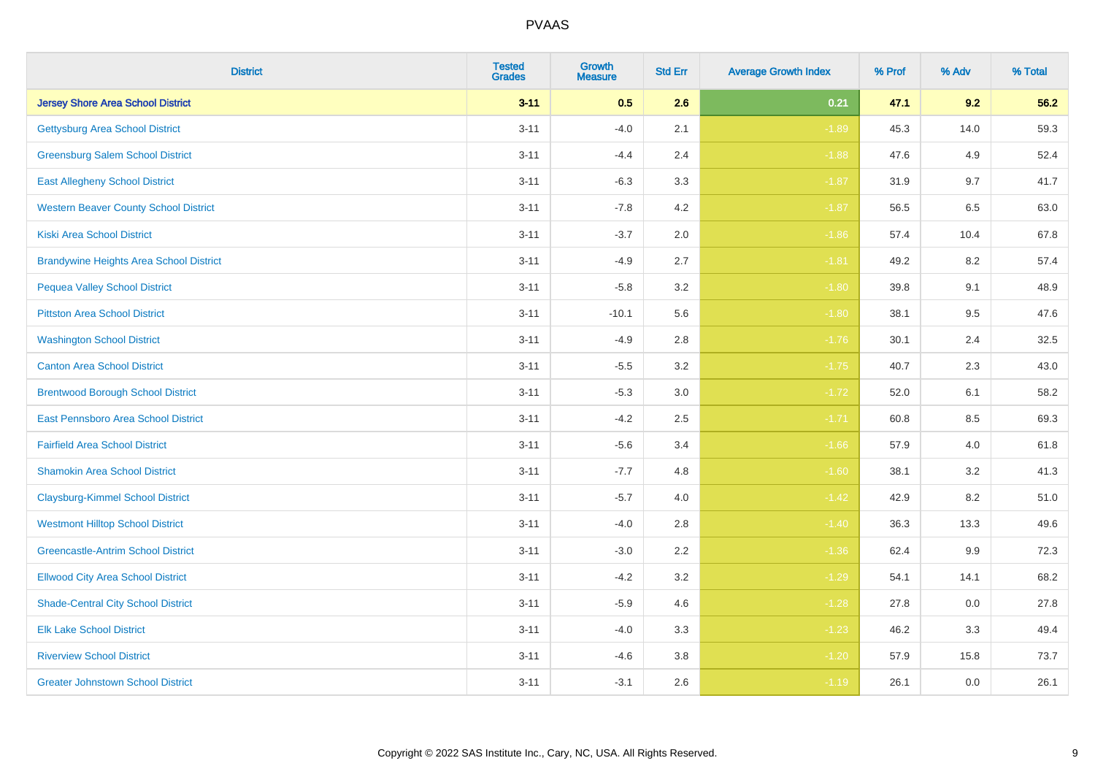| <b>District</b>                                | <b>Tested</b><br><b>Grades</b> | <b>Growth</b><br><b>Measure</b> | <b>Std Err</b> | <b>Average Growth Index</b> | % Prof | % Adv   | % Total |
|------------------------------------------------|--------------------------------|---------------------------------|----------------|-----------------------------|--------|---------|---------|
| <b>Jersey Shore Area School District</b>       | $3 - 11$                       | 0.5                             | 2.6            | 0.21                        | 47.1   | 9.2     | 56.2    |
| <b>Gettysburg Area School District</b>         | $3 - 11$                       | $-4.0$                          | 2.1            | $-1.89$                     | 45.3   | 14.0    | 59.3    |
| <b>Greensburg Salem School District</b>        | $3 - 11$                       | $-4.4$                          | 2.4            | $-1.88$                     | 47.6   | 4.9     | 52.4    |
| <b>East Allegheny School District</b>          | $3 - 11$                       | $-6.3$                          | 3.3            | $-1.87$                     | 31.9   | 9.7     | 41.7    |
| <b>Western Beaver County School District</b>   | $3 - 11$                       | $-7.8$                          | 4.2            | $-1.87$                     | 56.5   | 6.5     | 63.0    |
| <b>Kiski Area School District</b>              | $3 - 11$                       | $-3.7$                          | 2.0            | $-1.86$                     | 57.4   | 10.4    | 67.8    |
| <b>Brandywine Heights Area School District</b> | $3 - 11$                       | $-4.9$                          | 2.7            | $-1.81$                     | 49.2   | 8.2     | 57.4    |
| <b>Pequea Valley School District</b>           | $3 - 11$                       | $-5.8$                          | 3.2            | $-1.80$                     | 39.8   | 9.1     | 48.9    |
| <b>Pittston Area School District</b>           | $3 - 11$                       | $-10.1$                         | 5.6            | $-1.80$                     | 38.1   | 9.5     | 47.6    |
| <b>Washington School District</b>              | $3 - 11$                       | $-4.9$                          | 2.8            | $-1.76$                     | 30.1   | 2.4     | 32.5    |
| <b>Canton Area School District</b>             | $3 - 11$                       | $-5.5$                          | 3.2            | $-1.75$                     | 40.7   | 2.3     | 43.0    |
| <b>Brentwood Borough School District</b>       | $3 - 11$                       | $-5.3$                          | 3.0            | $-1.72$                     | 52.0   | 6.1     | 58.2    |
| East Pennsboro Area School District            | $3 - 11$                       | $-4.2$                          | 2.5            | $-1.71$                     | 60.8   | $8.5\,$ | 69.3    |
| <b>Fairfield Area School District</b>          | $3 - 11$                       | $-5.6$                          | 3.4            | $-1.66$                     | 57.9   | 4.0     | 61.8    |
| <b>Shamokin Area School District</b>           | $3 - 11$                       | $-7.7$                          | 4.8            | $-1.60$                     | 38.1   | 3.2     | 41.3    |
| <b>Claysburg-Kimmel School District</b>        | $3 - 11$                       | $-5.7$                          | 4.0            | $-1.42$                     | 42.9   | 8.2     | 51.0    |
| <b>Westmont Hilltop School District</b>        | $3 - 11$                       | $-4.0$                          | 2.8            | $-1.40$                     | 36.3   | 13.3    | 49.6    |
| <b>Greencastle-Antrim School District</b>      | $3 - 11$                       | $-3.0$                          | 2.2            | $-1.36$                     | 62.4   | 9.9     | 72.3    |
| <b>Ellwood City Area School District</b>       | $3 - 11$                       | $-4.2$                          | 3.2            | $-1.29$                     | 54.1   | 14.1    | 68.2    |
| <b>Shade-Central City School District</b>      | $3 - 11$                       | $-5.9$                          | 4.6            | $-1.28$                     | 27.8   | 0.0     | 27.8    |
| <b>Elk Lake School District</b>                | $3 - 11$                       | $-4.0$                          | 3.3            | $-1.23$                     | 46.2   | 3.3     | 49.4    |
| <b>Riverview School District</b>               | $3 - 11$                       | $-4.6$                          | $3.8\,$        | $-1.20$                     | 57.9   | 15.8    | 73.7    |
| <b>Greater Johnstown School District</b>       | $3 - 11$                       | $-3.1$                          | 2.6            | $-1.19$                     | 26.1   | 0.0     | 26.1    |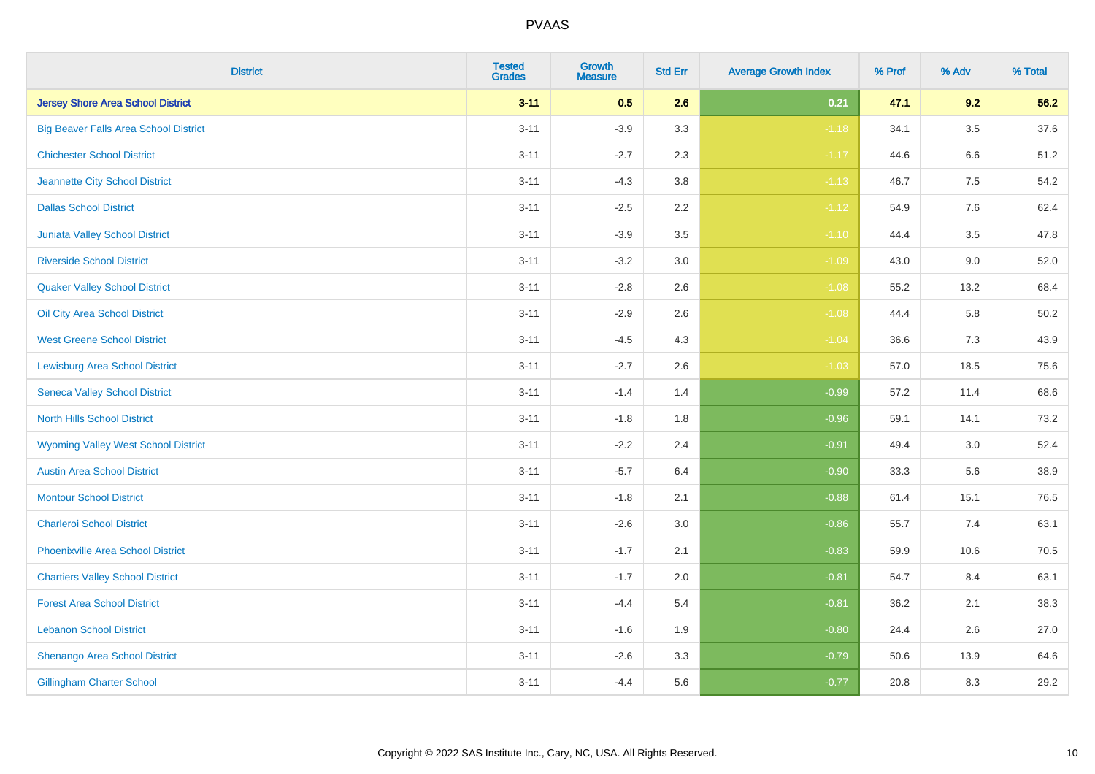| <b>District</b>                              | <b>Tested</b><br>Grades | <b>Growth</b><br><b>Measure</b> | <b>Std Err</b> | <b>Average Growth Index</b> | % Prof | % Adv   | % Total  |
|----------------------------------------------|-------------------------|---------------------------------|----------------|-----------------------------|--------|---------|----------|
| <b>Jersey Shore Area School District</b>     | $3 - 11$                | 0.5                             | 2.6            | 0.21                        | 47.1   | 9.2     | 56.2     |
| <b>Big Beaver Falls Area School District</b> | $3 - 11$                | $-3.9$                          | 3.3            | $-1.18$                     | 34.1   | $3.5\,$ | 37.6     |
| <b>Chichester School District</b>            | $3 - 11$                | $-2.7$                          | 2.3            | $-1.17$                     | 44.6   | 6.6     | 51.2     |
| Jeannette City School District               | $3 - 11$                | $-4.3$                          | $3.8\,$        | $-1.13$                     | 46.7   | 7.5     | 54.2     |
| <b>Dallas School District</b>                | $3 - 11$                | $-2.5$                          | 2.2            | $-1.12$                     | 54.9   | 7.6     | 62.4     |
| Juniata Valley School District               | $3 - 11$                | $-3.9$                          | 3.5            | $-1.10$                     | 44.4   | 3.5     | 47.8     |
| <b>Riverside School District</b>             | $3 - 11$                | $-3.2$                          | 3.0            | $-1.09$                     | 43.0   | 9.0     | 52.0     |
| <b>Quaker Valley School District</b>         | $3 - 11$                | $-2.8$                          | 2.6            | $-1.08$                     | 55.2   | 13.2    | 68.4     |
| Oil City Area School District                | $3 - 11$                | $-2.9$                          | 2.6            | $-1.08$                     | 44.4   | 5.8     | $50.2\,$ |
| <b>West Greene School District</b>           | $3 - 11$                | $-4.5$                          | 4.3            | $-1.04$                     | 36.6   | 7.3     | 43.9     |
| <b>Lewisburg Area School District</b>        | $3 - 11$                | $-2.7$                          | 2.6            | $-1.03$                     | 57.0   | 18.5    | 75.6     |
| <b>Seneca Valley School District</b>         | $3 - 11$                | $-1.4$                          | 1.4            | $-0.99$                     | 57.2   | 11.4    | 68.6     |
| North Hills School District                  | $3 - 11$                | $-1.8$                          | 1.8            | $-0.96$                     | 59.1   | 14.1    | 73.2     |
| <b>Wyoming Valley West School District</b>   | $3 - 11$                | $-2.2$                          | 2.4            | $-0.91$                     | 49.4   | 3.0     | 52.4     |
| <b>Austin Area School District</b>           | $3 - 11$                | $-5.7$                          | 6.4            | $-0.90$                     | 33.3   | 5.6     | 38.9     |
| <b>Montour School District</b>               | $3 - 11$                | $-1.8$                          | 2.1            | $-0.88$                     | 61.4   | 15.1    | 76.5     |
| <b>Charleroi School District</b>             | $3 - 11$                | $-2.6$                          | 3.0            | $-0.86$                     | 55.7   | 7.4     | 63.1     |
| <b>Phoenixville Area School District</b>     | $3 - 11$                | $-1.7$                          | 2.1            | $-0.83$                     | 59.9   | 10.6    | 70.5     |
| <b>Chartiers Valley School District</b>      | $3 - 11$                | $-1.7$                          | 2.0            | $-0.81$                     | 54.7   | 8.4     | 63.1     |
| <b>Forest Area School District</b>           | $3 - 11$                | $-4.4$                          | 5.4            | $-0.81$                     | 36.2   | 2.1     | 38.3     |
| <b>Lebanon School District</b>               | $3 - 11$                | $-1.6$                          | 1.9            | $-0.80$                     | 24.4   | 2.6     | 27.0     |
| Shenango Area School District                | $3 - 11$                | $-2.6$                          | 3.3            | $-0.79$                     | 50.6   | 13.9    | 64.6     |
| <b>Gillingham Charter School</b>             | $3 - 11$                | $-4.4$                          | 5.6            | $-0.77$                     | 20.8   | 8.3     | 29.2     |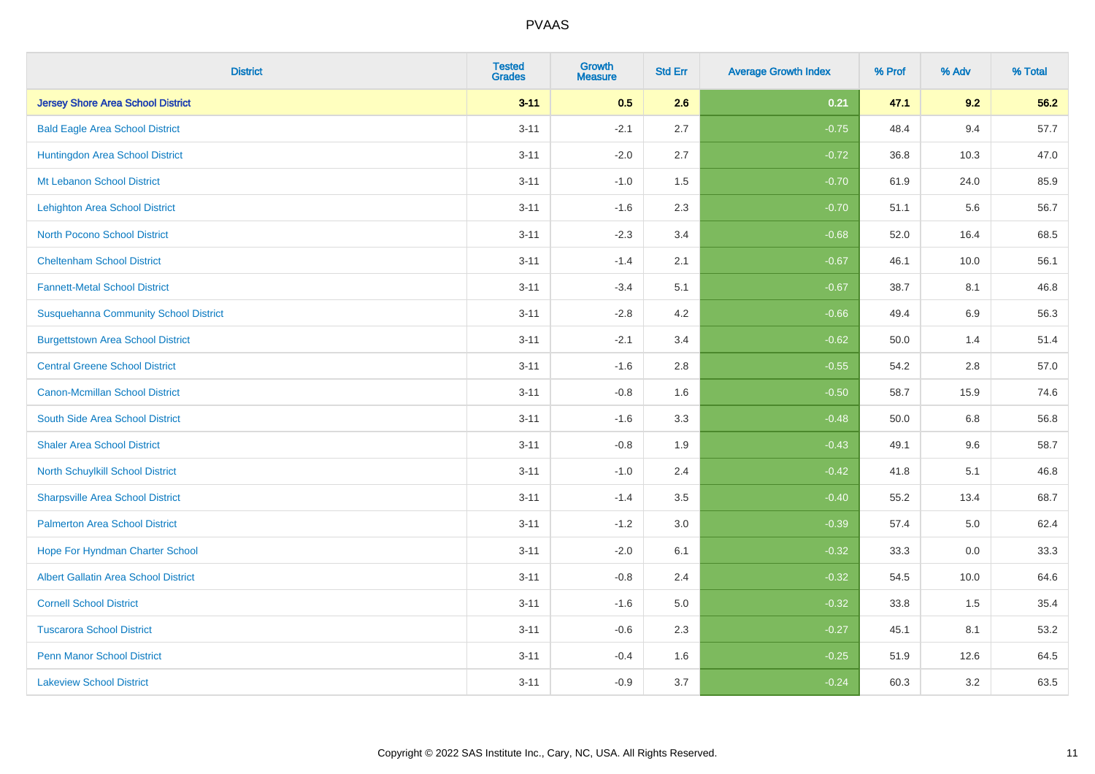| <b>District</b>                              | <b>Tested</b><br><b>Grades</b> | <b>Growth</b><br><b>Measure</b> | <b>Std Err</b> | <b>Average Growth Index</b> | % Prof | % Adv   | % Total |
|----------------------------------------------|--------------------------------|---------------------------------|----------------|-----------------------------|--------|---------|---------|
| <b>Jersey Shore Area School District</b>     | $3 - 11$                       | 0.5                             | 2.6            | 0.21                        | 47.1   | 9.2     | 56.2    |
| <b>Bald Eagle Area School District</b>       | $3 - 11$                       | $-2.1$                          | 2.7            | $-0.75$                     | 48.4   | 9.4     | 57.7    |
| Huntingdon Area School District              | $3 - 11$                       | $-2.0$                          | 2.7            | $-0.72$                     | 36.8   | 10.3    | 47.0    |
| Mt Lebanon School District                   | $3 - 11$                       | $-1.0$                          | 1.5            | $-0.70$                     | 61.9   | 24.0    | 85.9    |
| <b>Lehighton Area School District</b>        | $3 - 11$                       | $-1.6$                          | 2.3            | $-0.70$                     | 51.1   | 5.6     | 56.7    |
| <b>North Pocono School District</b>          | $3 - 11$                       | $-2.3$                          | 3.4            | $-0.68$                     | 52.0   | 16.4    | 68.5    |
| <b>Cheltenham School District</b>            | $3 - 11$                       | $-1.4$                          | 2.1            | $-0.67$                     | 46.1   | 10.0    | 56.1    |
| <b>Fannett-Metal School District</b>         | $3 - 11$                       | $-3.4$                          | 5.1            | $-0.67$                     | 38.7   | 8.1     | 46.8    |
| <b>Susquehanna Community School District</b> | $3 - 11$                       | $-2.8$                          | 4.2            | $-0.66$                     | 49.4   | 6.9     | 56.3    |
| <b>Burgettstown Area School District</b>     | $3 - 11$                       | $-2.1$                          | 3.4            | $-0.62$                     | 50.0   | 1.4     | 51.4    |
| <b>Central Greene School District</b>        | $3 - 11$                       | $-1.6$                          | 2.8            | $-0.55$                     | 54.2   | 2.8     | 57.0    |
| <b>Canon-Mcmillan School District</b>        | $3 - 11$                       | $-0.8$                          | 1.6            | $-0.50$                     | 58.7   | 15.9    | 74.6    |
| South Side Area School District              | $3 - 11$                       | $-1.6$                          | 3.3            | $-0.48$                     | 50.0   | $6.8\,$ | 56.8    |
| <b>Shaler Area School District</b>           | $3 - 11$                       | $-0.8$                          | 1.9            | $-0.43$                     | 49.1   | 9.6     | 58.7    |
| North Schuylkill School District             | $3 - 11$                       | $-1.0$                          | 2.4            | $-0.42$                     | 41.8   | 5.1     | 46.8    |
| <b>Sharpsville Area School District</b>      | $3 - 11$                       | $-1.4$                          | 3.5            | $-0.40$                     | 55.2   | 13.4    | 68.7    |
| <b>Palmerton Area School District</b>        | $3 - 11$                       | $-1.2$                          | 3.0            | $-0.39$                     | 57.4   | 5.0     | 62.4    |
| Hope For Hyndman Charter School              | $3 - 11$                       | $-2.0$                          | 6.1            | $-0.32$                     | 33.3   | 0.0     | 33.3    |
| <b>Albert Gallatin Area School District</b>  | $3 - 11$                       | $-0.8$                          | 2.4            | $-0.32$                     | 54.5   | 10.0    | 64.6    |
| <b>Cornell School District</b>               | $3 - 11$                       | $-1.6$                          | 5.0            | $-0.32$                     | 33.8   | 1.5     | 35.4    |
| <b>Tuscarora School District</b>             | $3 - 11$                       | $-0.6$                          | 2.3            | $-0.27$                     | 45.1   | 8.1     | 53.2    |
| <b>Penn Manor School District</b>            | $3 - 11$                       | $-0.4$                          | 1.6            | $-0.25$                     | 51.9   | 12.6    | 64.5    |
| <b>Lakeview School District</b>              | $3 - 11$                       | $-0.9$                          | 3.7            | $-0.24$                     | 60.3   | 3.2     | 63.5    |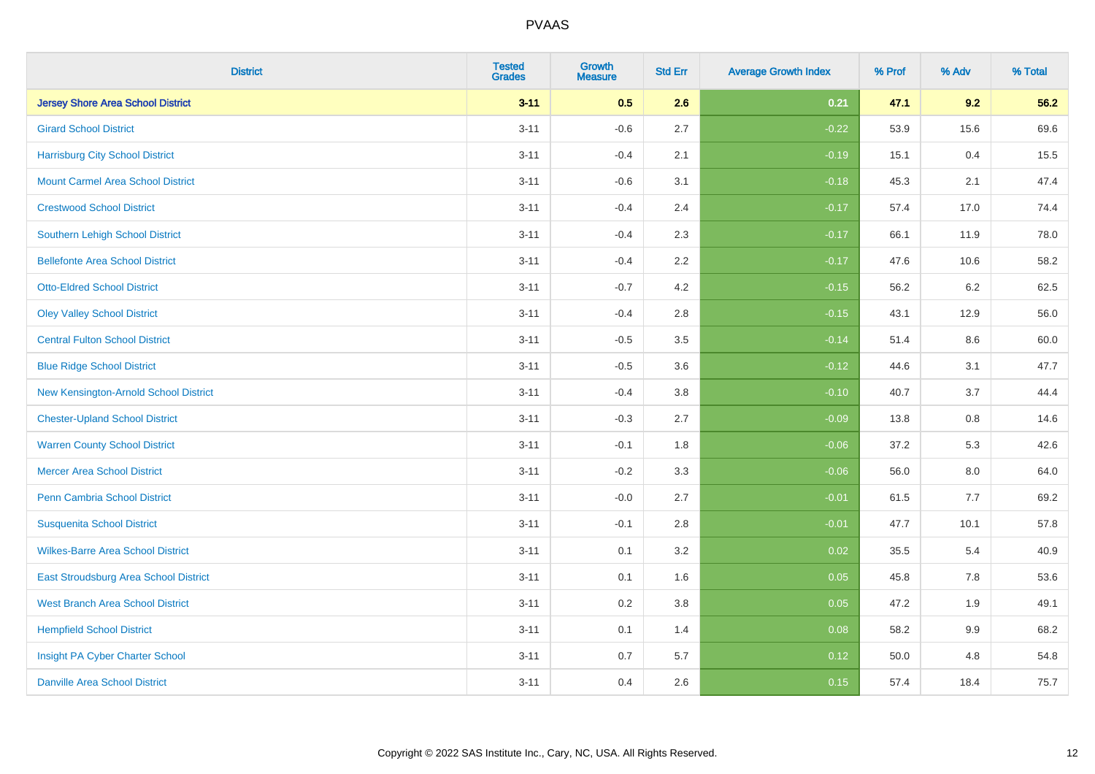| <b>District</b>                          | <b>Tested</b><br><b>Grades</b> | <b>Growth</b><br><b>Measure</b> | <b>Std Err</b> | <b>Average Growth Index</b> | % Prof | % Adv   | % Total |
|------------------------------------------|--------------------------------|---------------------------------|----------------|-----------------------------|--------|---------|---------|
| <b>Jersey Shore Area School District</b> | $3 - 11$                       | 0.5                             | 2.6            | 0.21                        | 47.1   | 9.2     | 56.2    |
| <b>Girard School District</b>            | $3 - 11$                       | $-0.6$                          | 2.7            | $-0.22$                     | 53.9   | 15.6    | 69.6    |
| <b>Harrisburg City School District</b>   | $3 - 11$                       | $-0.4$                          | 2.1            | $-0.19$                     | 15.1   | 0.4     | 15.5    |
| <b>Mount Carmel Area School District</b> | $3 - 11$                       | $-0.6$                          | 3.1            | $-0.18$                     | 45.3   | 2.1     | 47.4    |
| <b>Crestwood School District</b>         | $3 - 11$                       | $-0.4$                          | 2.4            | $-0.17$                     | 57.4   | 17.0    | 74.4    |
| <b>Southern Lehigh School District</b>   | $3 - 11$                       | $-0.4$                          | 2.3            | $-0.17$                     | 66.1   | 11.9    | 78.0    |
| <b>Bellefonte Area School District</b>   | $3 - 11$                       | $-0.4$                          | 2.2            | $-0.17$                     | 47.6   | 10.6    | 58.2    |
| <b>Otto-Eldred School District</b>       | $3 - 11$                       | $-0.7$                          | 4.2            | $-0.15$                     | 56.2   | 6.2     | 62.5    |
| <b>Oley Valley School District</b>       | $3 - 11$                       | $-0.4$                          | 2.8            | $-0.15$                     | 43.1   | 12.9    | 56.0    |
| <b>Central Fulton School District</b>    | $3 - 11$                       | $-0.5$                          | 3.5            | $-0.14$                     | 51.4   | 8.6     | 60.0    |
| <b>Blue Ridge School District</b>        | $3 - 11$                       | $-0.5$                          | 3.6            | $-0.12$                     | 44.6   | 3.1     | 47.7    |
| New Kensington-Arnold School District    | $3 - 11$                       | $-0.4$                          | 3.8            | $-0.10$                     | 40.7   | 3.7     | 44.4    |
| <b>Chester-Upland School District</b>    | $3 - 11$                       | $-0.3$                          | 2.7            | $-0.09$                     | 13.8   | $0.8\,$ | 14.6    |
| <b>Warren County School District</b>     | $3 - 11$                       | $-0.1$                          | 1.8            | $-0.06$                     | 37.2   | 5.3     | 42.6    |
| <b>Mercer Area School District</b>       | $3 - 11$                       | $-0.2$                          | 3.3            | $-0.06$                     | 56.0   | $8.0\,$ | 64.0    |
| Penn Cambria School District             | $3 - 11$                       | $-0.0$                          | 2.7            | $-0.01$                     | 61.5   | 7.7     | 69.2    |
| <b>Susquenita School District</b>        | $3 - 11$                       | $-0.1$                          | 2.8            | $-0.01$                     | 47.7   | 10.1    | 57.8    |
| <b>Wilkes-Barre Area School District</b> | $3 - 11$                       | 0.1                             | 3.2            | 0.02                        | 35.5   | 5.4     | 40.9    |
| East Stroudsburg Area School District    | $3 - 11$                       | 0.1                             | 1.6            | 0.05                        | 45.8   | 7.8     | 53.6    |
| <b>West Branch Area School District</b>  | $3 - 11$                       | 0.2                             | 3.8            | 0.05                        | 47.2   | 1.9     | 49.1    |
| <b>Hempfield School District</b>         | $3 - 11$                       | 0.1                             | 1.4            | 0.08                        | 58.2   | 9.9     | 68.2    |
| Insight PA Cyber Charter School          | $3 - 11$                       | 0.7                             | 5.7            | 0.12                        | 50.0   | 4.8     | 54.8    |
| <b>Danville Area School District</b>     | $3 - 11$                       | 0.4                             | 2.6            | 0.15                        | 57.4   | 18.4    | 75.7    |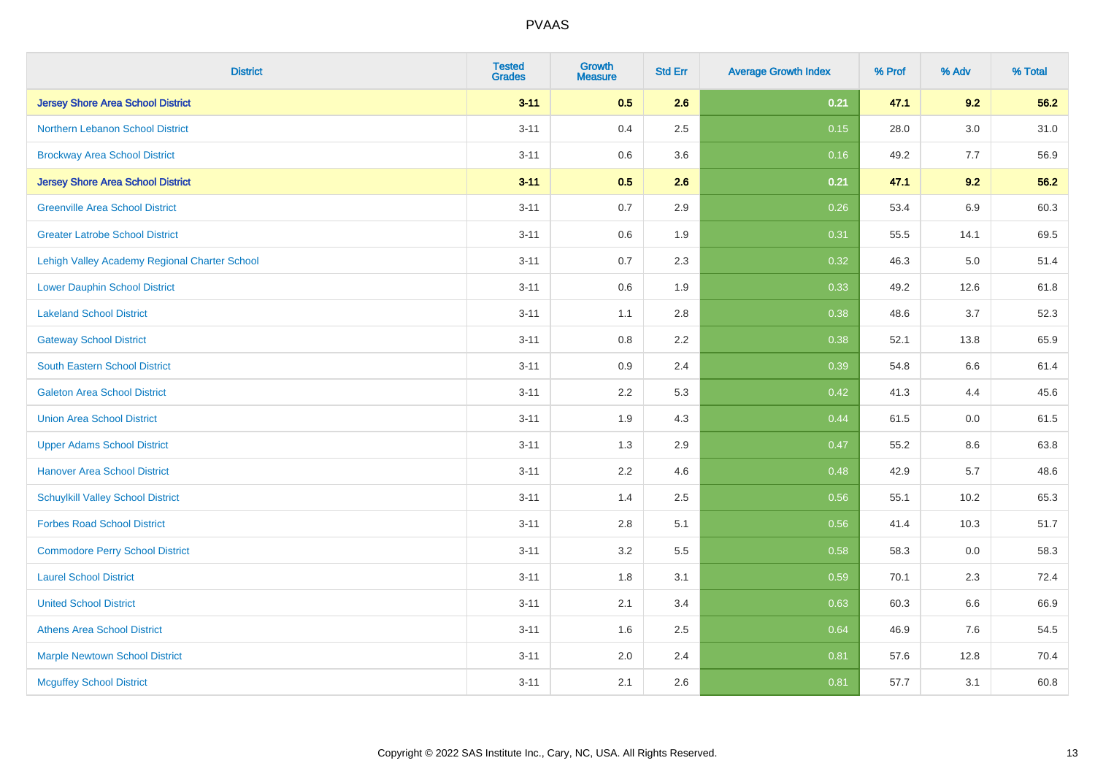| <b>District</b>                               | <b>Tested</b><br><b>Grades</b> | Growth<br>Measure | <b>Std Err</b> | <b>Average Growth Index</b> | % Prof | % Adv | % Total |
|-----------------------------------------------|--------------------------------|-------------------|----------------|-----------------------------|--------|-------|---------|
| <b>Jersey Shore Area School District</b>      | $3 - 11$                       | 0.5               | 2.6            | 0.21                        | 47.1   | 9.2   | 56.2    |
| Northern Lebanon School District              | $3 - 11$                       | 0.4               | 2.5            | 0.15                        | 28.0   | 3.0   | 31.0    |
| <b>Brockway Area School District</b>          | $3 - 11$                       | 0.6               | 3.6            | 0.16                        | 49.2   | 7.7   | 56.9    |
| <b>Jersey Shore Area School District</b>      | $3 - 11$                       | 0.5               | 2.6            | 0.21                        | 47.1   | 9.2   | 56.2    |
| <b>Greenville Area School District</b>        | $3 - 11$                       | 0.7               | 2.9            | 0.26                        | 53.4   | 6.9   | 60.3    |
| <b>Greater Latrobe School District</b>        | $3 - 11$                       | $0.6\,$           | 1.9            | 0.31                        | 55.5   | 14.1  | 69.5    |
| Lehigh Valley Academy Regional Charter School | $3 - 11$                       | 0.7               | 2.3            | 0.32                        | 46.3   | 5.0   | 51.4    |
| <b>Lower Dauphin School District</b>          | $3 - 11$                       | 0.6               | 1.9            | 0.33                        | 49.2   | 12.6  | 61.8    |
| <b>Lakeland School District</b>               | $3 - 11$                       | 1.1               | 2.8            | 0.38                        | 48.6   | 3.7   | 52.3    |
| <b>Gateway School District</b>                | $3 - 11$                       | 0.8               | 2.2            | 0.38                        | 52.1   | 13.8  | 65.9    |
| <b>South Eastern School District</b>          | $3 - 11$                       | 0.9               | 2.4            | 0.39                        | 54.8   | 6.6   | 61.4    |
| <b>Galeton Area School District</b>           | $3 - 11$                       | 2.2               | 5.3            | 0.42                        | 41.3   | 4.4   | 45.6    |
| <b>Union Area School District</b>             | $3 - 11$                       | 1.9               | 4.3            | 0.44                        | 61.5   | 0.0   | 61.5    |
| <b>Upper Adams School District</b>            | $3 - 11$                       | 1.3               | 2.9            | 0.47                        | 55.2   | 8.6   | 63.8    |
| <b>Hanover Area School District</b>           | $3 - 11$                       | 2.2               | 4.6            | 0.48                        | 42.9   | 5.7   | 48.6    |
| <b>Schuylkill Valley School District</b>      | $3 - 11$                       | 1.4               | 2.5            | 0.56                        | 55.1   | 10.2  | 65.3    |
| <b>Forbes Road School District</b>            | $3 - 11$                       | 2.8               | 5.1            | 0.56                        | 41.4   | 10.3  | 51.7    |
| <b>Commodore Perry School District</b>        | $3 - 11$                       | 3.2               | 5.5            | 0.58                        | 58.3   | 0.0   | 58.3    |
| <b>Laurel School District</b>                 | $3 - 11$                       | 1.8               | 3.1            | 0.59                        | 70.1   | 2.3   | 72.4    |
| <b>United School District</b>                 | $3 - 11$                       | 2.1               | 3.4            | 0.63                        | 60.3   | 6.6   | 66.9    |
| <b>Athens Area School District</b>            | $3 - 11$                       | 1.6               | 2.5            | 0.64                        | 46.9   | 7.6   | 54.5    |
| <b>Marple Newtown School District</b>         | $3 - 11$                       | 2.0               | 2.4            | 0.81                        | 57.6   | 12.8  | 70.4    |
| <b>Mcguffey School District</b>               | $3 - 11$                       | 2.1               | 2.6            | 0.81                        | 57.7   | 3.1   | 60.8    |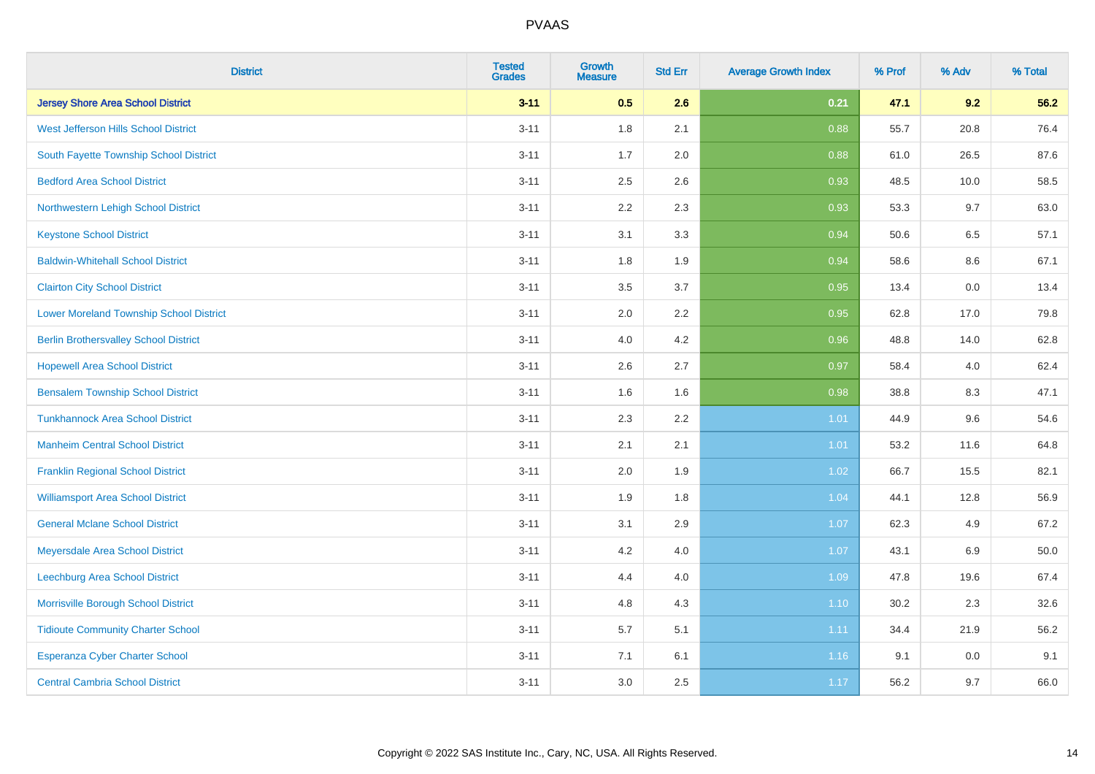| <b>District</b>                                | <b>Tested</b><br><b>Grades</b> | <b>Growth</b><br><b>Measure</b> | <b>Std Err</b> | <b>Average Growth Index</b> | % Prof | % Adv   | % Total  |
|------------------------------------------------|--------------------------------|---------------------------------|----------------|-----------------------------|--------|---------|----------|
| <b>Jersey Shore Area School District</b>       | $3 - 11$                       | 0.5                             | 2.6            | 0.21                        | 47.1   | 9.2     | 56.2     |
| West Jefferson Hills School District           | $3 - 11$                       | 1.8                             | 2.1            | 0.88                        | 55.7   | 20.8    | 76.4     |
| South Fayette Township School District         | $3 - 11$                       | 1.7                             | 2.0            | 0.88                        | 61.0   | 26.5    | 87.6     |
| <b>Bedford Area School District</b>            | $3 - 11$                       | 2.5                             | 2.6            | 0.93                        | 48.5   | 10.0    | 58.5     |
| Northwestern Lehigh School District            | $3 - 11$                       | 2.2                             | 2.3            | 0.93                        | 53.3   | 9.7     | 63.0     |
| <b>Keystone School District</b>                | $3 - 11$                       | 3.1                             | 3.3            | 0.94                        | 50.6   | 6.5     | 57.1     |
| <b>Baldwin-Whitehall School District</b>       | $3 - 11$                       | 1.8                             | 1.9            | 0.94                        | 58.6   | $8.6\,$ | 67.1     |
| <b>Clairton City School District</b>           | $3 - 11$                       | 3.5                             | 3.7            | 0.95                        | 13.4   | 0.0     | 13.4     |
| <b>Lower Moreland Township School District</b> | $3 - 11$                       | 2.0                             | 2.2            | 0.95                        | 62.8   | 17.0    | 79.8     |
| <b>Berlin Brothersvalley School District</b>   | $3 - 11$                       | 4.0                             | 4.2            | 0.96                        | 48.8   | 14.0    | 62.8     |
| <b>Hopewell Area School District</b>           | $3 - 11$                       | 2.6                             | 2.7            | 0.97                        | 58.4   | 4.0     | 62.4     |
| <b>Bensalem Township School District</b>       | $3 - 11$                       | 1.6                             | 1.6            | 0.98                        | 38.8   | 8.3     | 47.1     |
| <b>Tunkhannock Area School District</b>        | $3 - 11$                       | 2.3                             | 2.2            | 1.01                        | 44.9   | 9.6     | 54.6     |
| <b>Manheim Central School District</b>         | $3 - 11$                       | 2.1                             | 2.1            | 1.01                        | 53.2   | 11.6    | 64.8     |
| <b>Franklin Regional School District</b>       | $3 - 11$                       | 2.0                             | 1.9            | 1.02                        | 66.7   | 15.5    | 82.1     |
| <b>Williamsport Area School District</b>       | $3 - 11$                       | 1.9                             | 1.8            | 1.04                        | 44.1   | 12.8    | 56.9     |
| <b>General Mclane School District</b>          | $3 - 11$                       | 3.1                             | 2.9            | 1.07                        | 62.3   | 4.9     | 67.2     |
| Meyersdale Area School District                | $3 - 11$                       | 4.2                             | 4.0            | 1.07                        | 43.1   | 6.9     | $50.0\,$ |
| Leechburg Area School District                 | $3 - 11$                       | 4.4                             | 4.0            | 1.09                        | 47.8   | 19.6    | 67.4     |
| Morrisville Borough School District            | $3 - 11$                       | 4.8                             | 4.3            | $1.10$                      | 30.2   | 2.3     | 32.6     |
| <b>Tidioute Community Charter School</b>       | $3 - 11$                       | 5.7                             | 5.1            | 1.11                        | 34.4   | 21.9    | 56.2     |
| Esperanza Cyber Charter School                 | $3 - 11$                       | 7.1                             | 6.1            | 1.16                        | 9.1    | 0.0     | 9.1      |
| <b>Central Cambria School District</b>         | $3 - 11$                       | 3.0                             | 2.5            | 1.17                        | 56.2   | 9.7     | 66.0     |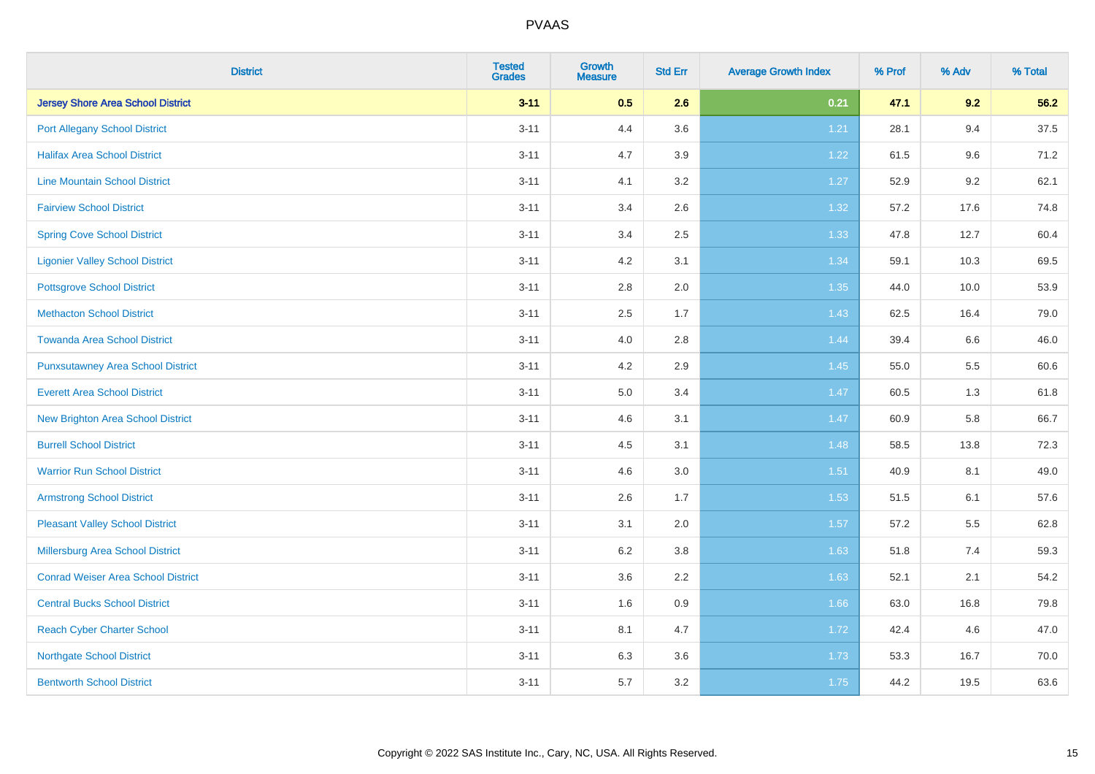| <b>District</b>                           | <b>Tested</b><br><b>Grades</b> | <b>Growth</b><br><b>Measure</b> | <b>Std Err</b> | <b>Average Growth Index</b> | % Prof | % Adv | % Total |
|-------------------------------------------|--------------------------------|---------------------------------|----------------|-----------------------------|--------|-------|---------|
| <b>Jersey Shore Area School District</b>  | $3 - 11$                       | 0.5                             | 2.6            | 0.21                        | 47.1   | 9.2   | 56.2    |
| <b>Port Allegany School District</b>      | $3 - 11$                       | 4.4                             | 3.6            | 1.21                        | 28.1   | 9.4   | 37.5    |
| <b>Halifax Area School District</b>       | $3 - 11$                       | 4.7                             | 3.9            | 1.22                        | 61.5   | 9.6   | 71.2    |
| <b>Line Mountain School District</b>      | $3 - 11$                       | 4.1                             | 3.2            | 1.27                        | 52.9   | 9.2   | 62.1    |
| <b>Fairview School District</b>           | $3 - 11$                       | 3.4                             | 2.6            | 1.32                        | 57.2   | 17.6  | 74.8    |
| <b>Spring Cove School District</b>        | $3 - 11$                       | 3.4                             | 2.5            | 1.33                        | 47.8   | 12.7  | 60.4    |
| <b>Ligonier Valley School District</b>    | $3 - 11$                       | 4.2                             | 3.1            | 1.34                        | 59.1   | 10.3  | 69.5    |
| <b>Pottsgrove School District</b>         | $3 - 11$                       | 2.8                             | 2.0            | 1.35                        | 44.0   | 10.0  | 53.9    |
| <b>Methacton School District</b>          | $3 - 11$                       | 2.5                             | 1.7            | 1.43                        | 62.5   | 16.4  | 79.0    |
| <b>Towanda Area School District</b>       | $3 - 11$                       | 4.0                             | 2.8            | 1.44                        | 39.4   | 6.6   | 46.0    |
| <b>Punxsutawney Area School District</b>  | $3 - 11$                       | 4.2                             | 2.9            | 1.45                        | 55.0   | 5.5   | 60.6    |
| <b>Everett Area School District</b>       | $3 - 11$                       | 5.0                             | 3.4            | 1.47                        | 60.5   | 1.3   | 61.8    |
| <b>New Brighton Area School District</b>  | $3 - 11$                       | 4.6                             | 3.1            | $1.47$                      | 60.9   | 5.8   | 66.7    |
| <b>Burrell School District</b>            | $3 - 11$                       | 4.5                             | 3.1            | 1.48                        | 58.5   | 13.8  | 72.3    |
| <b>Warrior Run School District</b>        | $3 - 11$                       | 4.6                             | 3.0            | $1.51$                      | 40.9   | 8.1   | 49.0    |
| <b>Armstrong School District</b>          | $3 - 11$                       | 2.6                             | 1.7            | 1.53                        | 51.5   | 6.1   | 57.6    |
| <b>Pleasant Valley School District</b>    | $3 - 11$                       | 3.1                             | 2.0            | 1.57                        | 57.2   | 5.5   | 62.8    |
| Millersburg Area School District          | $3 - 11$                       | 6.2                             | 3.8            | 1.63                        | 51.8   | 7.4   | 59.3    |
| <b>Conrad Weiser Area School District</b> | $3 - 11$                       | 3.6                             | 2.2            | 1.63                        | 52.1   | 2.1   | 54.2    |
| <b>Central Bucks School District</b>      | $3 - 11$                       | 1.6                             | 0.9            | 1.66                        | 63.0   | 16.8  | 79.8    |
| <b>Reach Cyber Charter School</b>         | $3 - 11$                       | 8.1                             | 4.7            | 1.72                        | 42.4   | 4.6   | 47.0    |
| <b>Northgate School District</b>          | $3 - 11$                       | 6.3                             | 3.6            | 1.73                        | 53.3   | 16.7  | 70.0    |
| <b>Bentworth School District</b>          | $3 - 11$                       | 5.7                             | 3.2            | 1.75                        | 44.2   | 19.5  | 63.6    |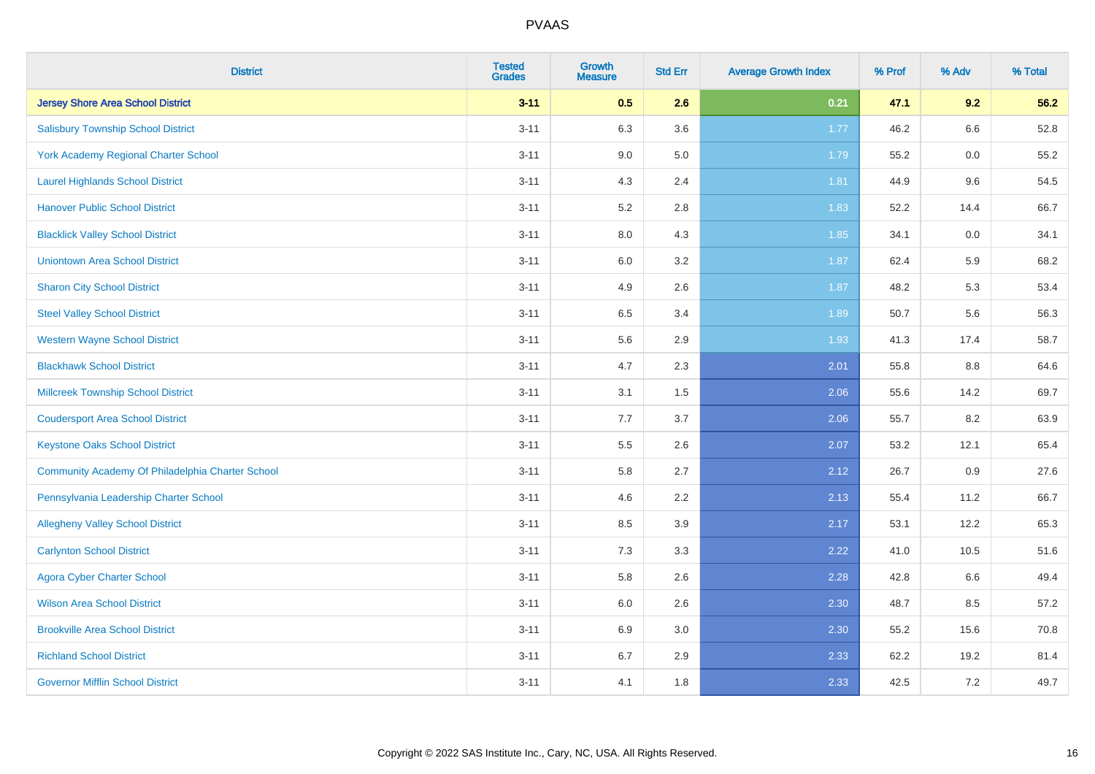| <b>District</b>                                  | <b>Tested</b><br><b>Grades</b> | <b>Growth</b><br><b>Measure</b> | <b>Std Err</b> | <b>Average Growth Index</b> | % Prof | % Adv   | % Total |
|--------------------------------------------------|--------------------------------|---------------------------------|----------------|-----------------------------|--------|---------|---------|
| <b>Jersey Shore Area School District</b>         | $3 - 11$                       | 0.5                             | 2.6            | 0.21                        | 47.1   | 9.2     | 56.2    |
| <b>Salisbury Township School District</b>        | $3 - 11$                       | 6.3                             | 3.6            | 1.77                        | 46.2   | 6.6     | 52.8    |
| <b>York Academy Regional Charter School</b>      | $3 - 11$                       | 9.0                             | 5.0            | 1.79                        | 55.2   | 0.0     | 55.2    |
| <b>Laurel Highlands School District</b>          | $3 - 11$                       | 4.3                             | 2.4            | 1.81                        | 44.9   | 9.6     | 54.5    |
| <b>Hanover Public School District</b>            | $3 - 11$                       | 5.2                             | 2.8            | 1.83                        | 52.2   | 14.4    | 66.7    |
| <b>Blacklick Valley School District</b>          | $3 - 11$                       | 8.0                             | 4.3            | 1.85                        | 34.1   | 0.0     | 34.1    |
| <b>Uniontown Area School District</b>            | $3 - 11$                       | 6.0                             | 3.2            | 1.87                        | 62.4   | 5.9     | 68.2    |
| <b>Sharon City School District</b>               | $3 - 11$                       | 4.9                             | 2.6            | 1.87                        | 48.2   | 5.3     | 53.4    |
| <b>Steel Valley School District</b>              | $3 - 11$                       | 6.5                             | 3.4            | 1.89                        | 50.7   | 5.6     | 56.3    |
| <b>Western Wayne School District</b>             | $3 - 11$                       | 5.6                             | 2.9            | 1.93                        | 41.3   | 17.4    | 58.7    |
| <b>Blackhawk School District</b>                 | $3 - 11$                       | 4.7                             | 2.3            | 2.01                        | 55.8   | 8.8     | 64.6    |
| <b>Millcreek Township School District</b>        | $3 - 11$                       | 3.1                             | 1.5            | 2.06                        | 55.6   | 14.2    | 69.7    |
| <b>Coudersport Area School District</b>          | $3 - 11$                       | 7.7                             | 3.7            | 2.06                        | 55.7   | 8.2     | 63.9    |
| <b>Keystone Oaks School District</b>             | $3 - 11$                       | $5.5\,$                         | 2.6            | 2.07                        | 53.2   | 12.1    | 65.4    |
| Community Academy Of Philadelphia Charter School | $3 - 11$                       | 5.8                             | 2.7            | 2.12                        | 26.7   | 0.9     | 27.6    |
| Pennsylvania Leadership Charter School           | $3 - 11$                       | 4.6                             | 2.2            | 2.13                        | 55.4   | 11.2    | 66.7    |
| <b>Allegheny Valley School District</b>          | $3 - 11$                       | 8.5                             | 3.9            | 2.17                        | 53.1   | 12.2    | 65.3    |
| <b>Carlynton School District</b>                 | $3 - 11$                       | 7.3                             | 3.3            | 2.22                        | 41.0   | 10.5    | 51.6    |
| <b>Agora Cyber Charter School</b>                | $3 - 11$                       | 5.8                             | 2.6            | 2.28                        | 42.8   | 6.6     | 49.4    |
| <b>Wilson Area School District</b>               | $3 - 11$                       | 6.0                             | 2.6            | 2.30                        | 48.7   | 8.5     | 57.2    |
| <b>Brookville Area School District</b>           | $3 - 11$                       | 6.9                             | 3.0            | 2.30                        | 55.2   | 15.6    | 70.8    |
| <b>Richland School District</b>                  | $3 - 11$                       | 6.7                             | 2.9            | 2.33                        | 62.2   | 19.2    | 81.4    |
| <b>Governor Mifflin School District</b>          | $3 - 11$                       | 4.1                             | 1.8            | 2.33                        | 42.5   | $7.2\,$ | 49.7    |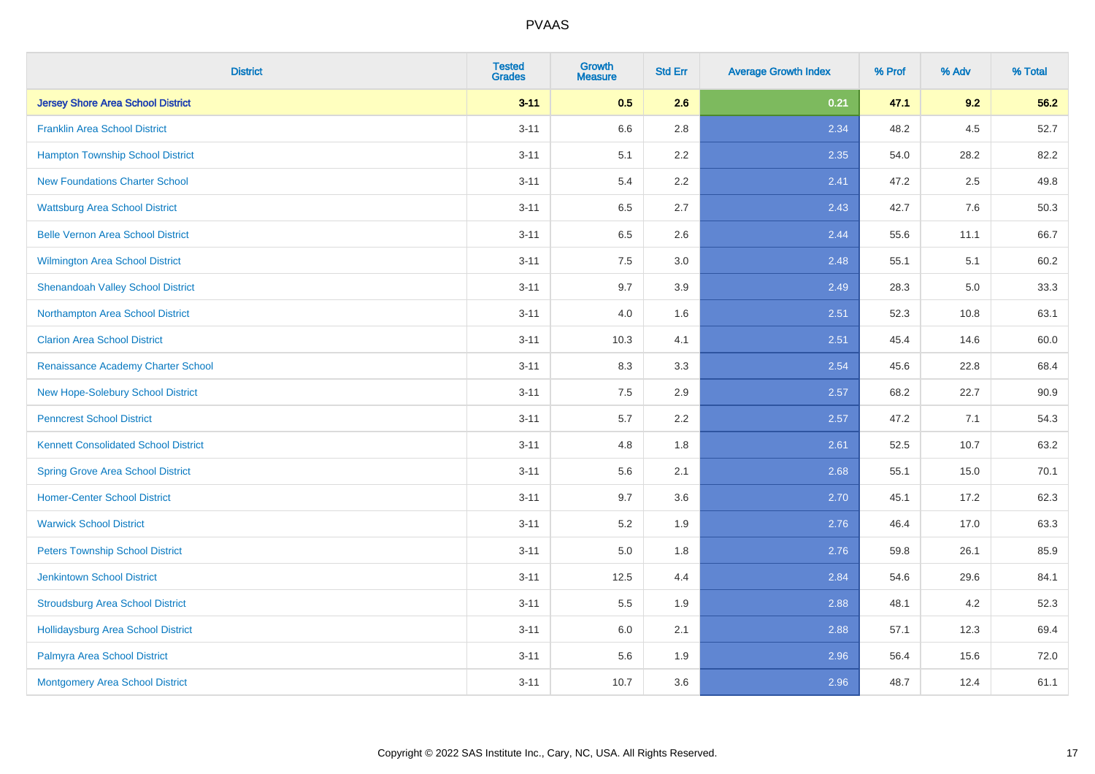| <b>District</b>                             | <b>Tested</b><br><b>Grades</b> | <b>Growth</b><br><b>Measure</b> | <b>Std Err</b> | <b>Average Growth Index</b> | % Prof | % Adv   | % Total |
|---------------------------------------------|--------------------------------|---------------------------------|----------------|-----------------------------|--------|---------|---------|
| <b>Jersey Shore Area School District</b>    | $3 - 11$                       | 0.5                             | 2.6            | 0.21                        | 47.1   | 9.2     | 56.2    |
| <b>Franklin Area School District</b>        | $3 - 11$                       | 6.6                             | 2.8            | 2.34                        | 48.2   | $4.5\,$ | 52.7    |
| <b>Hampton Township School District</b>     | $3 - 11$                       | 5.1                             | 2.2            | 2.35                        | 54.0   | 28.2    | 82.2    |
| <b>New Foundations Charter School</b>       | $3 - 11$                       | 5.4                             | 2.2            | 2.41                        | 47.2   | 2.5     | 49.8    |
| <b>Wattsburg Area School District</b>       | $3 - 11$                       | 6.5                             | 2.7            | 2.43                        | 42.7   | 7.6     | 50.3    |
| <b>Belle Vernon Area School District</b>    | $3 - 11$                       | 6.5                             | 2.6            | 2.44                        | 55.6   | 11.1    | 66.7    |
| Wilmington Area School District             | $3 - 11$                       | 7.5                             | 3.0            | 2.48                        | 55.1   | 5.1     | 60.2    |
| <b>Shenandoah Valley School District</b>    | $3 - 11$                       | 9.7                             | 3.9            | 2.49                        | 28.3   | 5.0     | 33.3    |
| Northampton Area School District            | $3 - 11$                       | 4.0                             | 1.6            | 2.51                        | 52.3   | 10.8    | 63.1    |
| <b>Clarion Area School District</b>         | $3 - 11$                       | 10.3                            | 4.1            | 2.51                        | 45.4   | 14.6    | 60.0    |
| Renaissance Academy Charter School          | $3 - 11$                       | 8.3                             | 3.3            | 2.54                        | 45.6   | 22.8    | 68.4    |
| New Hope-Solebury School District           | $3 - 11$                       | 7.5                             | 2.9            | 2.57                        | 68.2   | 22.7    | 90.9    |
| <b>Penncrest School District</b>            | $3 - 11$                       | 5.7                             | 2.2            | 2.57                        | 47.2   | 7.1     | 54.3    |
| <b>Kennett Consolidated School District</b> | $3 - 11$                       | 4.8                             | 1.8            | 2.61                        | 52.5   | 10.7    | 63.2    |
| <b>Spring Grove Area School District</b>    | $3 - 11$                       | 5.6                             | 2.1            | 2.68                        | 55.1   | 15.0    | 70.1    |
| <b>Homer-Center School District</b>         | $3 - 11$                       | 9.7                             | 3.6            | 2.70                        | 45.1   | 17.2    | 62.3    |
| <b>Warwick School District</b>              | $3 - 11$                       | 5.2                             | 1.9            | 2.76                        | 46.4   | 17.0    | 63.3    |
| <b>Peters Township School District</b>      | $3 - 11$                       | 5.0                             | 1.8            | 2.76                        | 59.8   | 26.1    | 85.9    |
| <b>Jenkintown School District</b>           | $3 - 11$                       | 12.5                            | 4.4            | 2.84                        | 54.6   | 29.6    | 84.1    |
| <b>Stroudsburg Area School District</b>     | $3 - 11$                       | 5.5                             | 1.9            | 2.88                        | 48.1   | 4.2     | 52.3    |
| <b>Hollidaysburg Area School District</b>   | $3 - 11$                       | 6.0                             | 2.1            | 2.88                        | 57.1   | 12.3    | 69.4    |
| Palmyra Area School District                | $3 - 11$                       | 5.6                             | 1.9            | 2.96                        | 56.4   | 15.6    | 72.0    |
| Montgomery Area School District             | $3 - 11$                       | 10.7                            | 3.6            | 2.96                        | 48.7   | 12.4    | 61.1    |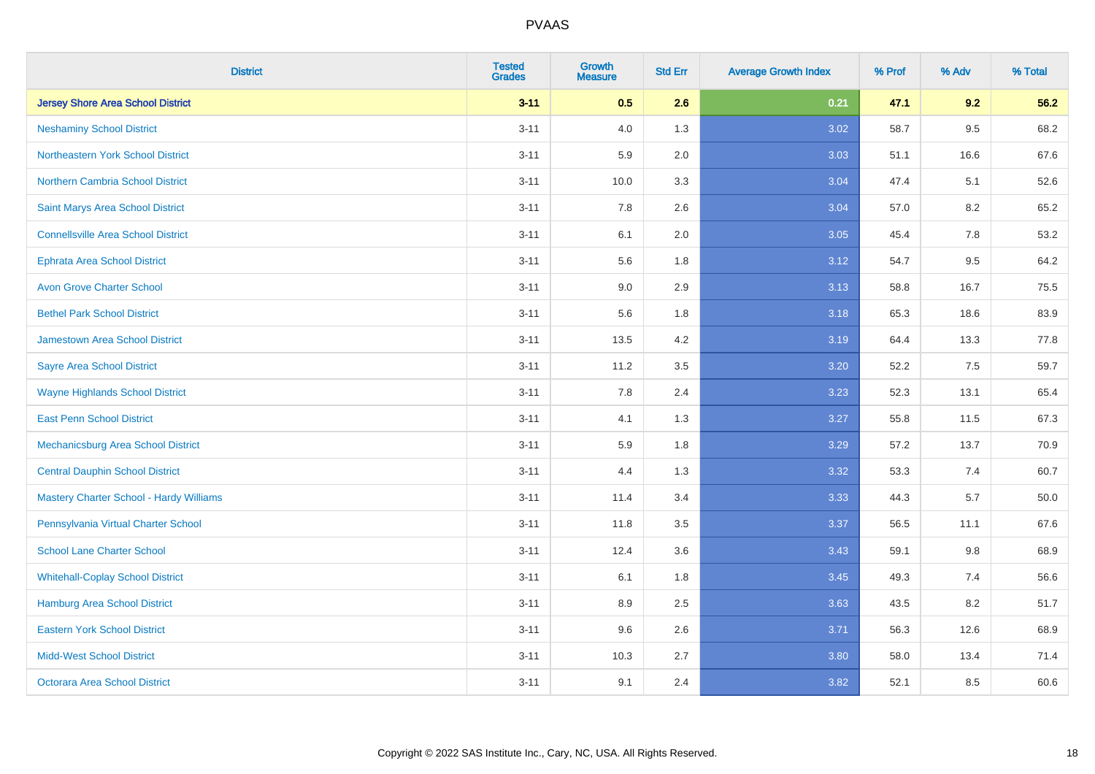| <b>District</b>                           | <b>Tested</b><br><b>Grades</b> | <b>Growth</b><br><b>Measure</b> | <b>Std Err</b> | <b>Average Growth Index</b> | % Prof | % Adv   | % Total |
|-------------------------------------------|--------------------------------|---------------------------------|----------------|-----------------------------|--------|---------|---------|
| <b>Jersey Shore Area School District</b>  | $3 - 11$                       | 0.5                             | 2.6            | 0.21                        | 47.1   | 9.2     | 56.2    |
| <b>Neshaminy School District</b>          | $3 - 11$                       | 4.0                             | 1.3            | 3.02                        | 58.7   | $9.5\,$ | 68.2    |
| Northeastern York School District         | $3 - 11$                       | 5.9                             | 2.0            | 3.03                        | 51.1   | 16.6    | 67.6    |
| <b>Northern Cambria School District</b>   | $3 - 11$                       | 10.0                            | 3.3            | 3.04                        | 47.4   | 5.1     | 52.6    |
| Saint Marys Area School District          | $3 - 11$                       | 7.8                             | 2.6            | 3.04                        | 57.0   | 8.2     | 65.2    |
| <b>Connellsville Area School District</b> | $3 - 11$                       | 6.1                             | 2.0            | 3.05                        | 45.4   | 7.8     | 53.2    |
| Ephrata Area School District              | $3 - 11$                       | 5.6                             | 1.8            | 3.12                        | 54.7   | 9.5     | 64.2    |
| <b>Avon Grove Charter School</b>          | $3 - 11$                       | 9.0                             | 2.9            | 3.13                        | 58.8   | 16.7    | 75.5    |
| <b>Bethel Park School District</b>        | $3 - 11$                       | 5.6                             | 1.8            | 3.18                        | 65.3   | 18.6    | 83.9    |
| <b>Jamestown Area School District</b>     | $3 - 11$                       | 13.5                            | 4.2            | 3.19                        | 64.4   | 13.3    | 77.8    |
| <b>Sayre Area School District</b>         | $3 - 11$                       | 11.2                            | 3.5            | 3.20                        | 52.2   | 7.5     | 59.7    |
| <b>Wayne Highlands School District</b>    | $3 - 11$                       | 7.8                             | 2.4            | 3.23                        | 52.3   | 13.1    | 65.4    |
| <b>East Penn School District</b>          | $3 - 11$                       | 4.1                             | 1.3            | 3.27                        | 55.8   | 11.5    | 67.3    |
| Mechanicsburg Area School District        | $3 - 11$                       | 5.9                             | 1.8            | 3.29                        | 57.2   | 13.7    | 70.9    |
| <b>Central Dauphin School District</b>    | $3 - 11$                       | 4.4                             | 1.3            | 3.32                        | 53.3   | 7.4     | 60.7    |
| Mastery Charter School - Hardy Williams   | $3 - 11$                       | 11.4                            | 3.4            | 3.33                        | 44.3   | 5.7     | 50.0    |
| Pennsylvania Virtual Charter School       | $3 - 11$                       | 11.8                            | 3.5            | 3.37                        | 56.5   | 11.1    | 67.6    |
| <b>School Lane Charter School</b>         | $3 - 11$                       | 12.4                            | 3.6            | 3.43                        | 59.1   | 9.8     | 68.9    |
| <b>Whitehall-Coplay School District</b>   | $3 - 11$                       | 6.1                             | 1.8            | 3.45                        | 49.3   | 7.4     | 56.6    |
| <b>Hamburg Area School District</b>       | $3 - 11$                       | 8.9                             | 2.5            | 3.63                        | 43.5   | 8.2     | 51.7    |
| <b>Eastern York School District</b>       | $3 - 11$                       | 9.6                             | 2.6            | 3.71                        | 56.3   | 12.6    | 68.9    |
| <b>Midd-West School District</b>          | $3 - 11$                       | 10.3                            | 2.7            | 3.80                        | 58.0   | 13.4    | 71.4    |
| <b>Octorara Area School District</b>      | $3 - 11$                       | 9.1                             | 2.4            | 3.82                        | 52.1   | 8.5     | 60.6    |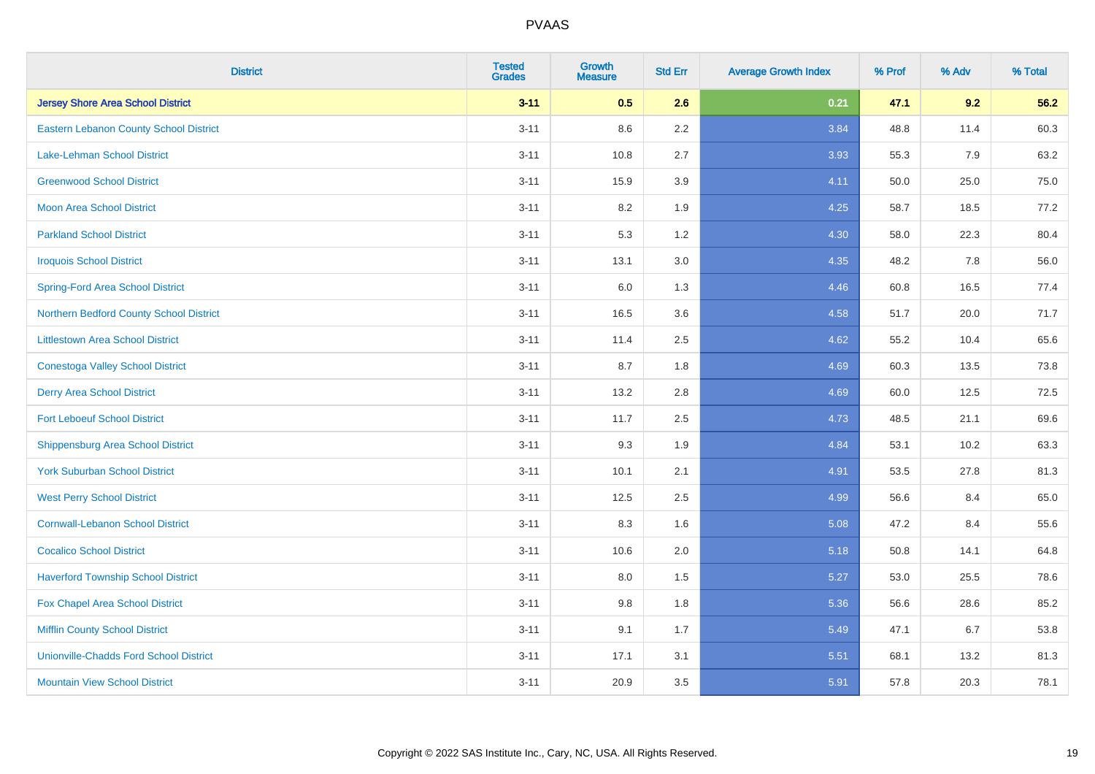| <b>District</b>                               | <b>Tested</b><br><b>Grades</b> | <b>Growth</b><br><b>Measure</b> | <b>Std Err</b> | <b>Average Growth Index</b> | % Prof | % Adv | % Total |
|-----------------------------------------------|--------------------------------|---------------------------------|----------------|-----------------------------|--------|-------|---------|
| <b>Jersey Shore Area School District</b>      | $3 - 11$                       | 0.5                             | 2.6            | 0.21                        | 47.1   | 9.2   | 56.2    |
| <b>Eastern Lebanon County School District</b> | $3 - 11$                       | 8.6                             | $2.2\,$        | 3.84                        | 48.8   | 11.4  | 60.3    |
| <b>Lake-Lehman School District</b>            | $3 - 11$                       | 10.8                            | 2.7            | 3.93                        | 55.3   | 7.9   | 63.2    |
| <b>Greenwood School District</b>              | $3 - 11$                       | 15.9                            | 3.9            | 4.11                        | 50.0   | 25.0  | 75.0    |
| <b>Moon Area School District</b>              | $3 - 11$                       | 8.2                             | 1.9            | 4.25                        | 58.7   | 18.5  | 77.2    |
| <b>Parkland School District</b>               | $3 - 11$                       | 5.3                             | 1.2            | 4.30                        | 58.0   | 22.3  | 80.4    |
| <b>Iroquois School District</b>               | $3 - 11$                       | 13.1                            | 3.0            | 4.35                        | 48.2   | 7.8   | 56.0    |
| <b>Spring-Ford Area School District</b>       | $3 - 11$                       | 6.0                             | 1.3            | 4.46                        | 60.8   | 16.5  | 77.4    |
| Northern Bedford County School District       | $3 - 11$                       | 16.5                            | 3.6            | 4.58                        | 51.7   | 20.0  | 71.7    |
| <b>Littlestown Area School District</b>       | $3 - 11$                       | 11.4                            | 2.5            | 4.62                        | 55.2   | 10.4  | 65.6    |
| <b>Conestoga Valley School District</b>       | $3 - 11$                       | 8.7                             | 1.8            | 4.69                        | 60.3   | 13.5  | 73.8    |
| <b>Derry Area School District</b>             | $3 - 11$                       | 13.2                            | 2.8            | 4.69                        | 60.0   | 12.5  | 72.5    |
| <b>Fort Leboeuf School District</b>           | $3 - 11$                       | 11.7                            | 2.5            | 4.73                        | 48.5   | 21.1  | 69.6    |
| <b>Shippensburg Area School District</b>      | $3 - 11$                       | 9.3                             | 1.9            | 4.84                        | 53.1   | 10.2  | 63.3    |
| <b>York Suburban School District</b>          | $3 - 11$                       | 10.1                            | 2.1            | 4.91                        | 53.5   | 27.8  | 81.3    |
| <b>West Perry School District</b>             | $3 - 11$                       | 12.5                            | 2.5            | 4.99                        | 56.6   | 8.4   | 65.0    |
| <b>Cornwall-Lebanon School District</b>       | $3 - 11$                       | 8.3                             | 1.6            | 5.08                        | 47.2   | 8.4   | 55.6    |
| <b>Cocalico School District</b>               | $3 - 11$                       | 10.6                            | 2.0            | 5.18                        | 50.8   | 14.1  | 64.8    |
| <b>Haverford Township School District</b>     | $3 - 11$                       | 8.0                             | 1.5            | 5.27                        | 53.0   | 25.5  | 78.6    |
| Fox Chapel Area School District               | $3 - 11$                       | 9.8                             | 1.8            | 5.36                        | 56.6   | 28.6  | 85.2    |
| <b>Mifflin County School District</b>         | $3 - 11$                       | 9.1                             | 1.7            | 5.49                        | 47.1   | 6.7   | 53.8    |
| <b>Unionville-Chadds Ford School District</b> | $3 - 11$                       | 17.1                            | 3.1            | 5.51                        | 68.1   | 13.2  | 81.3    |
| <b>Mountain View School District</b>          | $3 - 11$                       | 20.9                            | 3.5            | 5.91                        | 57.8   | 20.3  | 78.1    |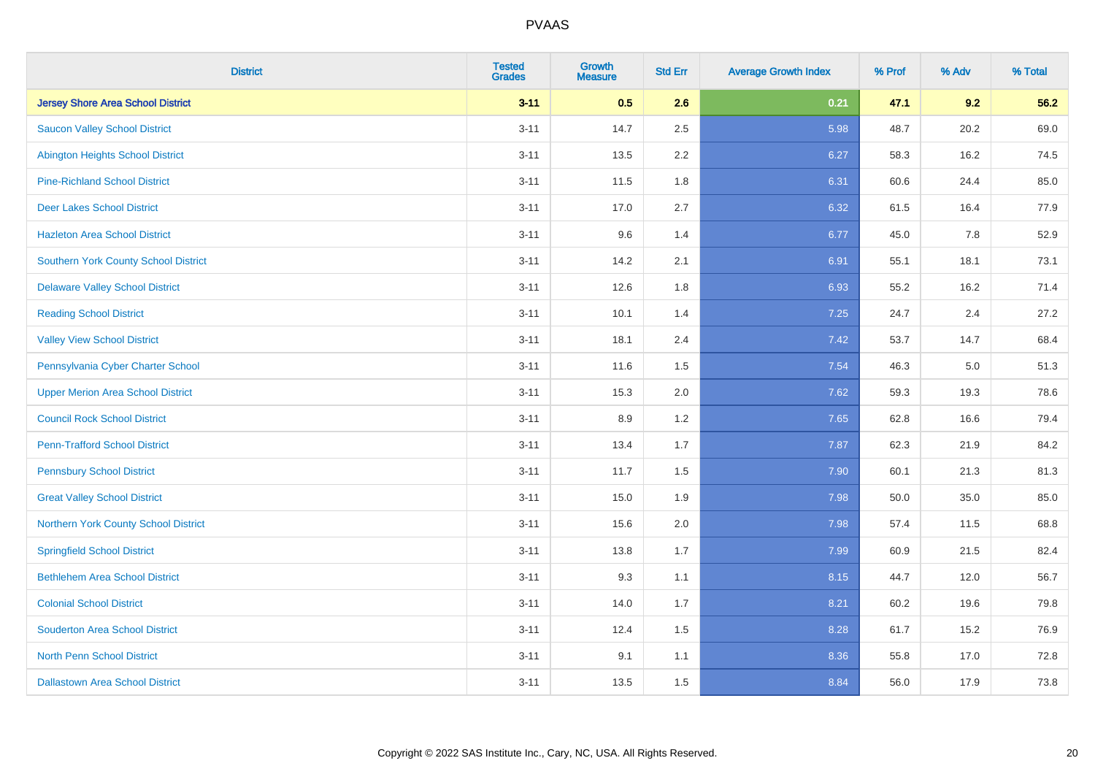| <b>District</b>                          | <b>Tested</b><br><b>Grades</b> | <b>Growth</b><br><b>Measure</b> | <b>Std Err</b> | <b>Average Growth Index</b> | % Prof | % Adv | % Total |
|------------------------------------------|--------------------------------|---------------------------------|----------------|-----------------------------|--------|-------|---------|
| <b>Jersey Shore Area School District</b> | $3 - 11$                       | 0.5                             | 2.6            | 0.21                        | 47.1   | 9.2   | 56.2    |
| <b>Saucon Valley School District</b>     | $3 - 11$                       | 14.7                            | 2.5            | 5.98                        | 48.7   | 20.2  | 69.0    |
| <b>Abington Heights School District</b>  | $3 - 11$                       | 13.5                            | 2.2            | 6.27                        | 58.3   | 16.2  | 74.5    |
| <b>Pine-Richland School District</b>     | $3 - 11$                       | 11.5                            | 1.8            | 6.31                        | 60.6   | 24.4  | 85.0    |
| <b>Deer Lakes School District</b>        | $3 - 11$                       | 17.0                            | 2.7            | 6.32                        | 61.5   | 16.4  | 77.9    |
| <b>Hazleton Area School District</b>     | $3 - 11$                       | 9.6                             | 1.4            | 6.77                        | 45.0   | 7.8   | 52.9    |
| Southern York County School District     | $3 - 11$                       | 14.2                            | 2.1            | 6.91                        | 55.1   | 18.1  | 73.1    |
| <b>Delaware Valley School District</b>   | $3 - 11$                       | 12.6                            | 1.8            | 6.93                        | 55.2   | 16.2  | 71.4    |
| <b>Reading School District</b>           | $3 - 11$                       | 10.1                            | 1.4            | 7.25                        | 24.7   | 2.4   | 27.2    |
| <b>Valley View School District</b>       | $3 - 11$                       | 18.1                            | 2.4            | 7.42                        | 53.7   | 14.7  | 68.4    |
| Pennsylvania Cyber Charter School        | $3 - 11$                       | 11.6                            | 1.5            | 7.54                        | 46.3   | 5.0   | 51.3    |
| <b>Upper Merion Area School District</b> | $3 - 11$                       | 15.3                            | 2.0            | 7.62                        | 59.3   | 19.3  | 78.6    |
| <b>Council Rock School District</b>      | $3 - 11$                       | 8.9                             | 1.2            | 7.65                        | 62.8   | 16.6  | 79.4    |
| <b>Penn-Trafford School District</b>     | $3 - 11$                       | 13.4                            | 1.7            | 7.87                        | 62.3   | 21.9  | 84.2    |
| <b>Pennsbury School District</b>         | $3 - 11$                       | 11.7                            | 1.5            | 7.90                        | 60.1   | 21.3  | 81.3    |
| <b>Great Valley School District</b>      | $3 - 11$                       | 15.0                            | 1.9            | 7.98                        | 50.0   | 35.0  | 85.0    |
| Northern York County School District     | $3 - 11$                       | 15.6                            | 2.0            | 7.98                        | 57.4   | 11.5  | 68.8    |
| <b>Springfield School District</b>       | $3 - 11$                       | 13.8                            | 1.7            | 7.99                        | 60.9   | 21.5  | 82.4    |
| <b>Bethlehem Area School District</b>    | $3 - 11$                       | 9.3                             | 1.1            | 8.15                        | 44.7   | 12.0  | 56.7    |
| <b>Colonial School District</b>          | $3 - 11$                       | 14.0                            | 1.7            | 8.21                        | 60.2   | 19.6  | 79.8    |
| <b>Souderton Area School District</b>    | $3 - 11$                       | 12.4                            | 1.5            | 8.28                        | 61.7   | 15.2  | 76.9    |
| <b>North Penn School District</b>        | $3 - 11$                       | 9.1                             | 1.1            | 8.36                        | 55.8   | 17.0  | 72.8    |
| <b>Dallastown Area School District</b>   | $3 - 11$                       | 13.5                            | 1.5            | 8.84                        | 56.0   | 17.9  | 73.8    |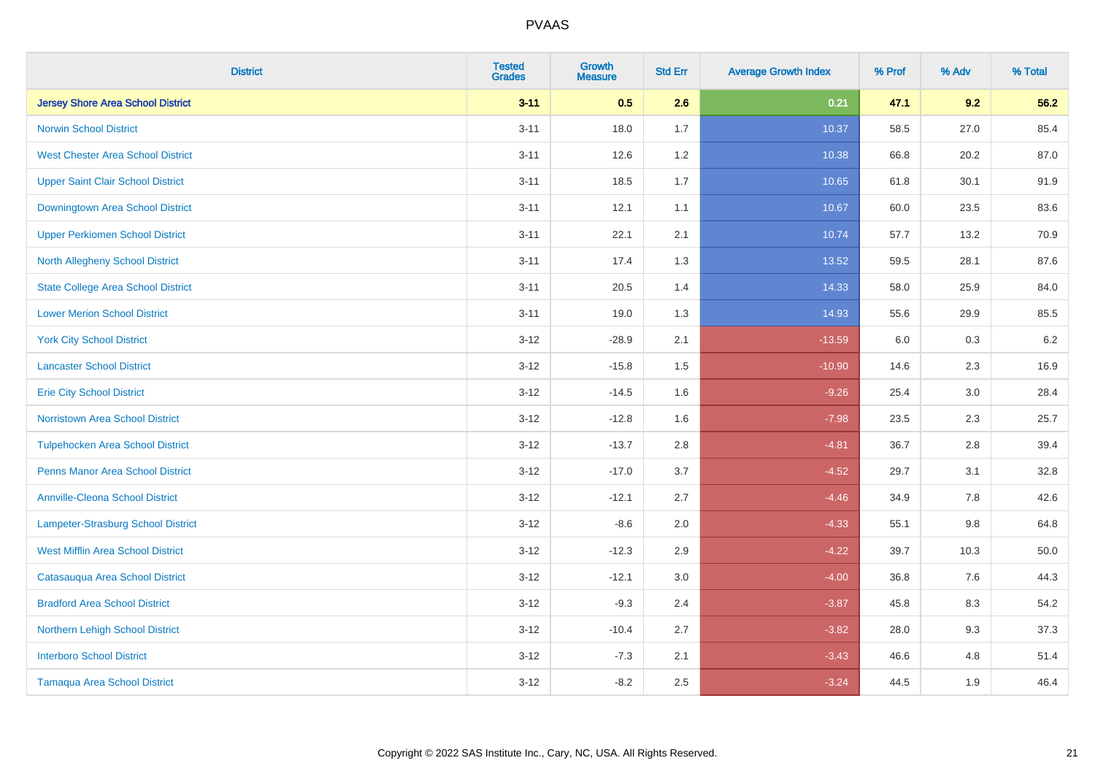| <b>District</b>                           | <b>Tested</b><br><b>Grades</b> | <b>Growth</b><br><b>Measure</b> | <b>Std Err</b> | <b>Average Growth Index</b> | % Prof | % Adv   | % Total |
|-------------------------------------------|--------------------------------|---------------------------------|----------------|-----------------------------|--------|---------|---------|
| <b>Jersey Shore Area School District</b>  | $3 - 11$                       | 0.5                             | 2.6            | 0.21                        | 47.1   | 9.2     | 56.2    |
| <b>Norwin School District</b>             | $3 - 11$                       | 18.0                            | 1.7            | 10.37                       | 58.5   | 27.0    | 85.4    |
| <b>West Chester Area School District</b>  | $3 - 11$                       | 12.6                            | $1.2$          | 10.38                       | 66.8   | 20.2    | 87.0    |
| <b>Upper Saint Clair School District</b>  | $3 - 11$                       | 18.5                            | 1.7            | 10.65                       | 61.8   | 30.1    | 91.9    |
| Downingtown Area School District          | $3 - 11$                       | 12.1                            | 1.1            | 10.67                       | 60.0   | 23.5    | 83.6    |
| <b>Upper Perkiomen School District</b>    | $3 - 11$                       | 22.1                            | 2.1            | 10.74                       | 57.7   | 13.2    | 70.9    |
| North Allegheny School District           | $3 - 11$                       | 17.4                            | 1.3            | 13.52                       | 59.5   | 28.1    | 87.6    |
| <b>State College Area School District</b> | $3 - 11$                       | 20.5                            | 1.4            | 14.33                       | 58.0   | 25.9    | 84.0    |
| <b>Lower Merion School District</b>       | $3 - 11$                       | 19.0                            | 1.3            | 14.93                       | 55.6   | 29.9    | 85.5    |
| <b>York City School District</b>          | $3 - 12$                       | $-28.9$                         | 2.1            | $-13.59$                    | 6.0    | 0.3     | 6.2     |
| <b>Lancaster School District</b>          | $3 - 12$                       | $-15.8$                         | 1.5            | $-10.90$                    | 14.6   | 2.3     | 16.9    |
| <b>Erie City School District</b>          | $3 - 12$                       | $-14.5$                         | 1.6            | $-9.26$                     | 25.4   | 3.0     | 28.4    |
| Norristown Area School District           | $3-12$                         | $-12.8$                         | 1.6            | $-7.98$                     | 23.5   | $2.3\,$ | 25.7    |
| <b>Tulpehocken Area School District</b>   | $3 - 12$                       | $-13.7$                         | 2.8            | $-4.81$                     | 36.7   | 2.8     | 39.4    |
| <b>Penns Manor Area School District</b>   | $3 - 12$                       | $-17.0$                         | 3.7            | $-4.52$                     | 29.7   | 3.1     | 32.8    |
| <b>Annville-Cleona School District</b>    | $3 - 12$                       | $-12.1$                         | 2.7            | $-4.46$                     | 34.9   | 7.8     | 42.6    |
| Lampeter-Strasburg School District        | $3 - 12$                       | $-8.6$                          | 2.0            | $-4.33$                     | 55.1   | 9.8     | 64.8    |
| <b>West Mifflin Area School District</b>  | $3 - 12$                       | $-12.3$                         | 2.9            | $-4.22$                     | 39.7   | 10.3    | 50.0    |
| Catasauqua Area School District           | $3 - 12$                       | $-12.1$                         | 3.0            | $-4.00$                     | 36.8   | 7.6     | 44.3    |
| <b>Bradford Area School District</b>      | $3 - 12$                       | $-9.3$                          | 2.4            | $-3.87$                     | 45.8   | 8.3     | 54.2    |
| Northern Lehigh School District           | $3 - 12$                       | $-10.4$                         | 2.7            | $-3.82$                     | 28.0   | 9.3     | 37.3    |
| <b>Interboro School District</b>          | $3 - 12$                       | $-7.3$                          | 2.1            | $-3.43$                     | 46.6   | 4.8     | 51.4    |
| <b>Tamaqua Area School District</b>       | $3 - 12$                       | $-8.2$                          | 2.5            | $-3.24$                     | 44.5   | 1.9     | 46.4    |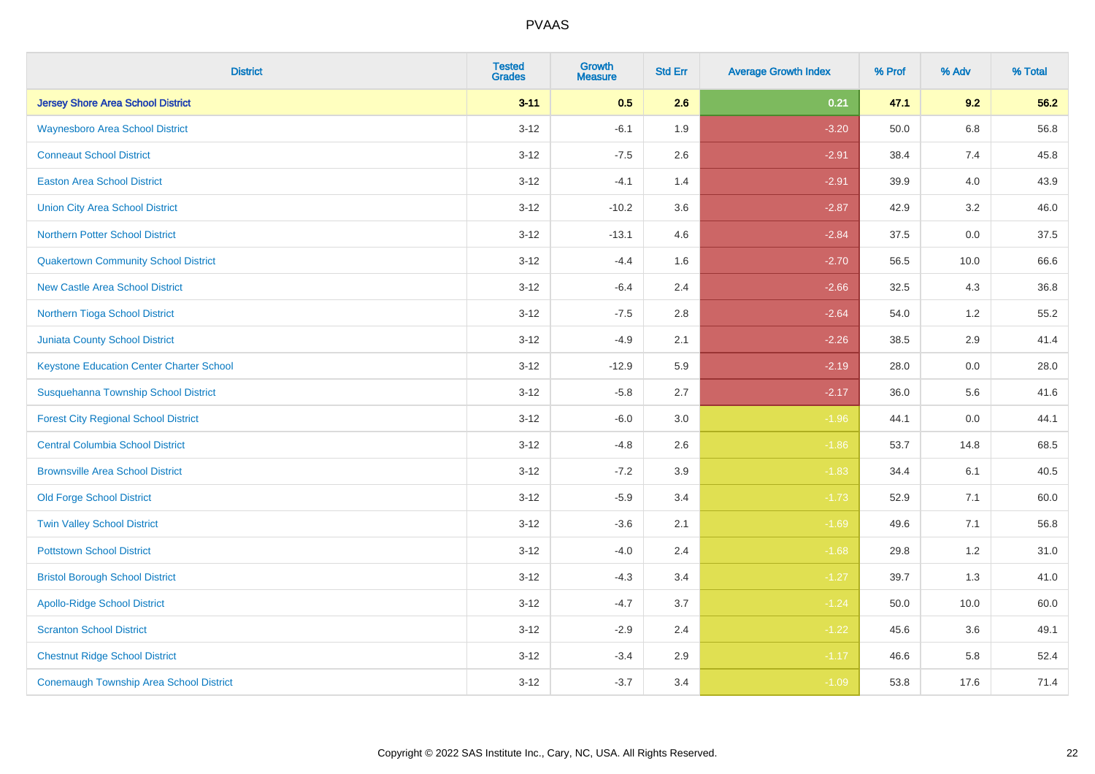| <b>District</b>                                | <b>Tested</b><br><b>Grades</b> | <b>Growth</b><br><b>Measure</b> | <b>Std Err</b> | <b>Average Growth Index</b> | % Prof | % Adv   | % Total |
|------------------------------------------------|--------------------------------|---------------------------------|----------------|-----------------------------|--------|---------|---------|
| <b>Jersey Shore Area School District</b>       | $3 - 11$                       | 0.5                             | 2.6            | 0.21                        | 47.1   | 9.2     | 56.2    |
| <b>Waynesboro Area School District</b>         | $3 - 12$                       | $-6.1$                          | 1.9            | $-3.20$                     | 50.0   | $6.8\,$ | 56.8    |
| <b>Conneaut School District</b>                | $3 - 12$                       | $-7.5$                          | 2.6            | $-2.91$                     | 38.4   | 7.4     | 45.8    |
| <b>Easton Area School District</b>             | $3-12$                         | $-4.1$                          | 1.4            | $-2.91$                     | 39.9   | 4.0     | 43.9    |
| <b>Union City Area School District</b>         | $3 - 12$                       | $-10.2$                         | 3.6            | $-2.87$                     | 42.9   | 3.2     | 46.0    |
| Northern Potter School District                | $3 - 12$                       | $-13.1$                         | 4.6            | $-2.84$                     | 37.5   | 0.0     | 37.5    |
| <b>Quakertown Community School District</b>    | $3 - 12$                       | $-4.4$                          | 1.6            | $-2.70$                     | 56.5   | 10.0    | 66.6    |
| <b>New Castle Area School District</b>         | $3 - 12$                       | $-6.4$                          | 2.4            | $-2.66$                     | 32.5   | 4.3     | 36.8    |
| Northern Tioga School District                 | $3 - 12$                       | $-7.5$                          | 2.8            | $-2.64$                     | 54.0   | 1.2     | 55.2    |
| <b>Juniata County School District</b>          | $3 - 12$                       | $-4.9$                          | 2.1            | $-2.26$                     | 38.5   | 2.9     | 41.4    |
| Keystone Education Center Charter School       | $3 - 12$                       | $-12.9$                         | 5.9            | $-2.19$                     | 28.0   | 0.0     | 28.0    |
| Susquehanna Township School District           | $3 - 12$                       | $-5.8$                          | 2.7            | $-2.17$                     | 36.0   | 5.6     | 41.6    |
| <b>Forest City Regional School District</b>    | $3 - 12$                       | $-6.0$                          | 3.0            | $-1.96$                     | 44.1   | $0.0\,$ | 44.1    |
| <b>Central Columbia School District</b>        | $3 - 12$                       | $-4.8$                          | 2.6            | $-1.86$                     | 53.7   | 14.8    | 68.5    |
| <b>Brownsville Area School District</b>        | $3 - 12$                       | $-7.2$                          | 3.9            | $-1.83$                     | 34.4   | 6.1     | 40.5    |
| <b>Old Forge School District</b>               | $3 - 12$                       | $-5.9$                          | 3.4            | $-1.73$                     | 52.9   | 7.1     | 60.0    |
| <b>Twin Valley School District</b>             | $3 - 12$                       | $-3.6$                          | 2.1            | $-1.69$                     | 49.6   | 7.1     | 56.8    |
| <b>Pottstown School District</b>               | $3 - 12$                       | $-4.0$                          | 2.4            | $-1.68$                     | 29.8   | 1.2     | 31.0    |
| <b>Bristol Borough School District</b>         | $3 - 12$                       | $-4.3$                          | 3.4            | $-1.27$                     | 39.7   | 1.3     | 41.0    |
| <b>Apollo-Ridge School District</b>            | $3 - 12$                       | $-4.7$                          | 3.7            | $-1.24$                     | 50.0   | 10.0    | 60.0    |
| <b>Scranton School District</b>                | $3 - 12$                       | $-2.9$                          | 2.4            | $-1.22$                     | 45.6   | 3.6     | 49.1    |
| <b>Chestnut Ridge School District</b>          | $3 - 12$                       | $-3.4$                          | 2.9            | $-1.17$                     | 46.6   | 5.8     | 52.4    |
| <b>Conemaugh Township Area School District</b> | $3-12$                         | $-3.7$                          | 3.4            | $-1.09$                     | 53.8   | 17.6    | 71.4    |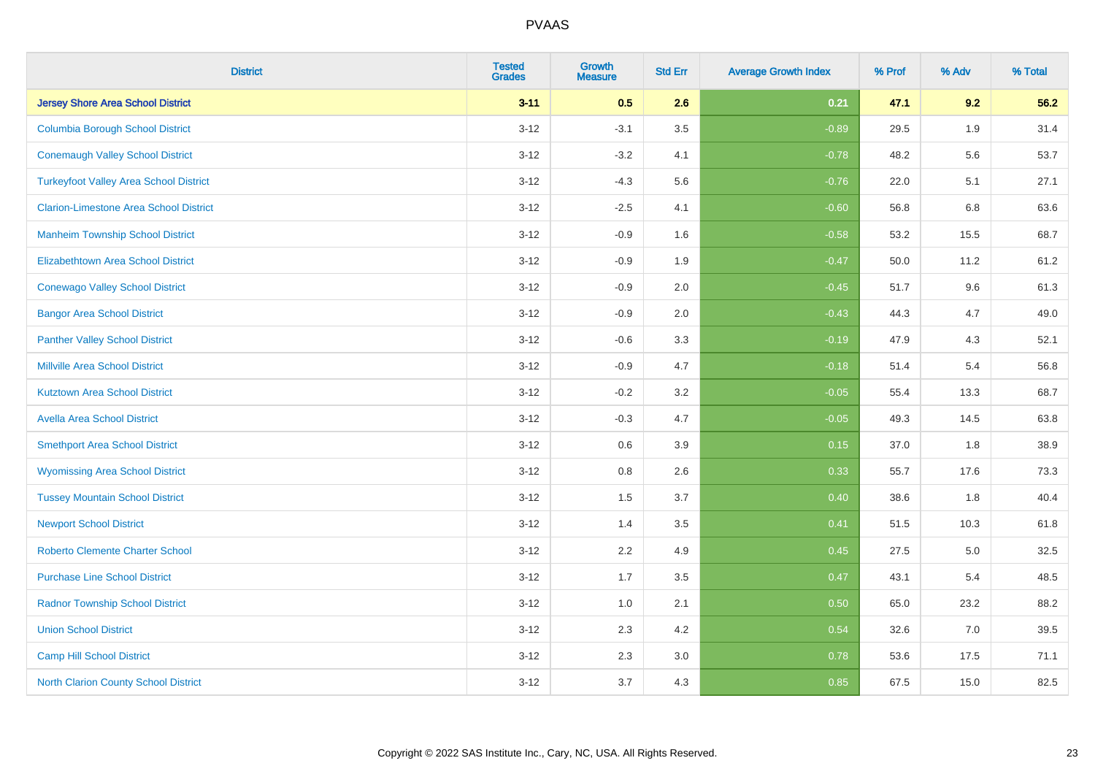| <b>District</b>                               | <b>Tested</b><br><b>Grades</b> | <b>Growth</b><br><b>Measure</b> | <b>Std Err</b> | <b>Average Growth Index</b> | % Prof | % Adv | % Total |
|-----------------------------------------------|--------------------------------|---------------------------------|----------------|-----------------------------|--------|-------|---------|
| <b>Jersey Shore Area School District</b>      | $3 - 11$                       | 0.5                             | 2.6            | 0.21                        | 47.1   | 9.2   | 56.2    |
| <b>Columbia Borough School District</b>       | $3 - 12$                       | $-3.1$                          | 3.5            | $-0.89$                     | 29.5   | 1.9   | 31.4    |
| <b>Conemaugh Valley School District</b>       | $3 - 12$                       | $-3.2$                          | 4.1            | $-0.78$                     | 48.2   | 5.6   | 53.7    |
| <b>Turkeyfoot Valley Area School District</b> | $3 - 12$                       | $-4.3$                          | 5.6            | $-0.76$                     | 22.0   | 5.1   | 27.1    |
| <b>Clarion-Limestone Area School District</b> | $3 - 12$                       | $-2.5$                          | 4.1            | $-0.60$                     | 56.8   | 6.8   | 63.6    |
| <b>Manheim Township School District</b>       | $3 - 12$                       | $-0.9$                          | 1.6            | $-0.58$                     | 53.2   | 15.5  | 68.7    |
| <b>Elizabethtown Area School District</b>     | $3-12$                         | $-0.9$                          | 1.9            | $-0.47$                     | 50.0   | 11.2  | 61.2    |
| <b>Conewago Valley School District</b>        | $3 - 12$                       | $-0.9$                          | 2.0            | $-0.45$                     | 51.7   | 9.6   | 61.3    |
| <b>Bangor Area School District</b>            | $3 - 12$                       | $-0.9$                          | 2.0            | $-0.43$                     | 44.3   | 4.7   | 49.0    |
| <b>Panther Valley School District</b>         | $3 - 12$                       | $-0.6$                          | 3.3            | $-0.19$                     | 47.9   | 4.3   | 52.1    |
| <b>Millville Area School District</b>         | $3 - 12$                       | $-0.9$                          | 4.7            | $-0.18$                     | 51.4   | 5.4   | 56.8    |
| <b>Kutztown Area School District</b>          | $3 - 12$                       | $-0.2$                          | 3.2            | $-0.05$                     | 55.4   | 13.3  | 68.7    |
| <b>Avella Area School District</b>            | $3 - 12$                       | $-0.3$                          | 4.7            | $-0.05$                     | 49.3   | 14.5  | 63.8    |
| <b>Smethport Area School District</b>         | $3 - 12$                       | 0.6                             | 3.9            | 0.15                        | 37.0   | 1.8   | 38.9    |
| <b>Wyomissing Area School District</b>        | $3 - 12$                       | 0.8                             | 2.6            | 0.33                        | 55.7   | 17.6  | 73.3    |
| <b>Tussey Mountain School District</b>        | $3-12$                         | 1.5                             | 3.7            | $\boxed{0.40}$              | 38.6   | 1.8   | 40.4    |
| <b>Newport School District</b>                | $3 - 12$                       | 1.4                             | 3.5            | 0.41                        | 51.5   | 10.3  | 61.8    |
| <b>Roberto Clemente Charter School</b>        | $3 - 12$                       | 2.2                             | 4.9            | 0.45                        | 27.5   | 5.0   | 32.5    |
| <b>Purchase Line School District</b>          | $3 - 12$                       | 1.7                             | 3.5            | 0.47                        | 43.1   | 5.4   | 48.5    |
| <b>Radnor Township School District</b>        | $3-12$                         | $1.0\,$                         | 2.1            | 0.50                        | 65.0   | 23.2  | 88.2    |
| <b>Union School District</b>                  | $3 - 12$                       | 2.3                             | 4.2            | 0.54                        | 32.6   | 7.0   | 39.5    |
| <b>Camp Hill School District</b>              | $3 - 12$                       | 2.3                             | 3.0            | 0.78                        | 53.6   | 17.5  | 71.1    |
| North Clarion County School District          | $3-12$                         | 3.7                             | 4.3            | 0.85                        | 67.5   | 15.0  | 82.5    |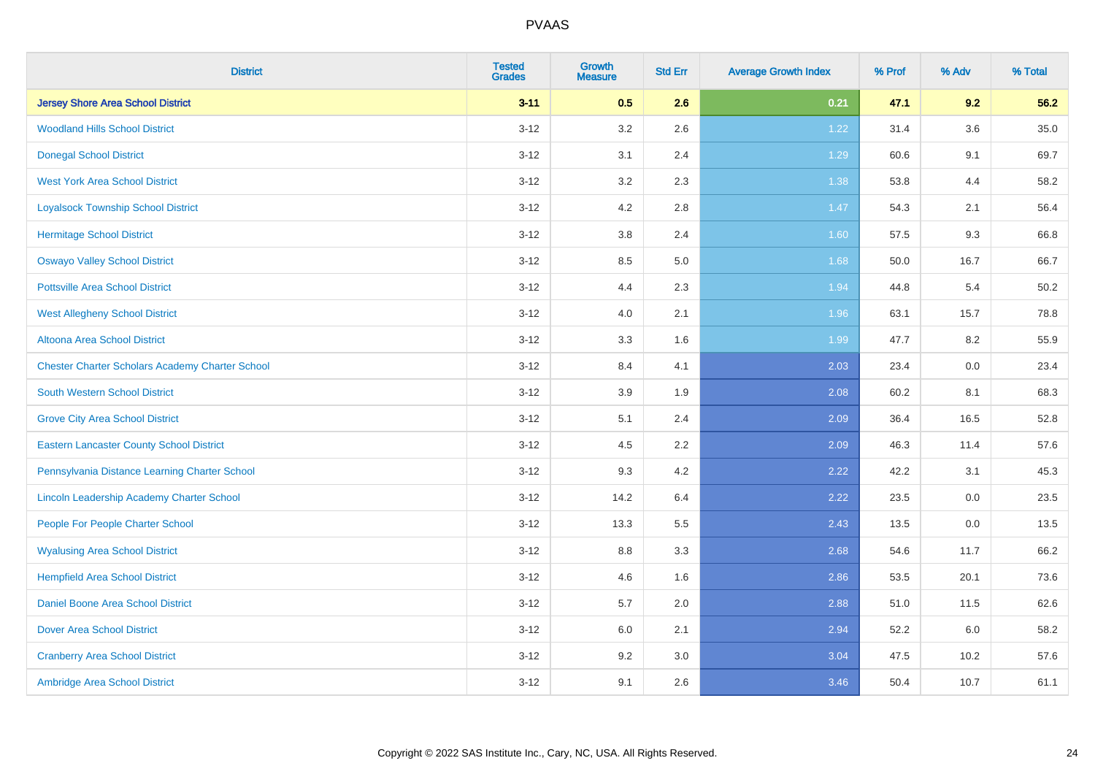| <b>District</b>                                        | <b>Tested</b><br><b>Grades</b> | <b>Growth</b><br><b>Measure</b> | <b>Std Err</b> | <b>Average Growth Index</b> | % Prof | % Adv   | % Total  |
|--------------------------------------------------------|--------------------------------|---------------------------------|----------------|-----------------------------|--------|---------|----------|
| <b>Jersey Shore Area School District</b>               | $3 - 11$                       | 0.5                             | 2.6            | 0.21                        | 47.1   | 9.2     | 56.2     |
| <b>Woodland Hills School District</b>                  | $3 - 12$                       | $3.2\,$                         | 2.6            | 1.22                        | 31.4   | $3.6\,$ | $35.0\,$ |
| <b>Donegal School District</b>                         | $3 - 12$                       | 3.1                             | 2.4            | 1.29                        | 60.6   | 9.1     | 69.7     |
| <b>West York Area School District</b>                  | $3 - 12$                       | 3.2                             | 2.3            | 1.38                        | 53.8   | 4.4     | 58.2     |
| <b>Loyalsock Township School District</b>              | $3 - 12$                       | 4.2                             | 2.8            | $1.47$                      | 54.3   | 2.1     | 56.4     |
| <b>Hermitage School District</b>                       | $3 - 12$                       | 3.8                             | 2.4            | 1.60                        | 57.5   | 9.3     | 66.8     |
| <b>Oswayo Valley School District</b>                   | $3-12$                         | 8.5                             | 5.0            | 1.68                        | 50.0   | 16.7    | 66.7     |
| <b>Pottsville Area School District</b>                 | $3 - 12$                       | 4.4                             | 2.3            | 1.94                        | 44.8   | 5.4     | 50.2     |
| <b>West Allegheny School District</b>                  | $3 - 12$                       | 4.0                             | 2.1            | 1.96                        | 63.1   | 15.7    | 78.8     |
| Altoona Area School District                           | $3 - 12$                       | 3.3                             | 1.6            | 1.99                        | 47.7   | 8.2     | 55.9     |
| <b>Chester Charter Scholars Academy Charter School</b> | $3 - 12$                       | 8.4                             | 4.1            | 2.03                        | 23.4   | 0.0     | 23.4     |
| South Western School District                          | $3 - 12$                       | 3.9                             | 1.9            | 2.08                        | 60.2   | 8.1     | 68.3     |
| <b>Grove City Area School District</b>                 | $3-12$                         | 5.1                             | 2.4            | 2.09                        | 36.4   | 16.5    | 52.8     |
| <b>Eastern Lancaster County School District</b>        | $3 - 12$                       | 4.5                             | 2.2            | 2.09                        | 46.3   | 11.4    | 57.6     |
| Pennsylvania Distance Learning Charter School          | $3 - 12$                       | 9.3                             | 4.2            | 2.22                        | 42.2   | 3.1     | 45.3     |
| Lincoln Leadership Academy Charter School              | $3-12$                         | 14.2                            | 6.4            | 2.22                        | 23.5   | $0.0\,$ | 23.5     |
| People For People Charter School                       | $3 - 12$                       | 13.3                            | 5.5            | 2.43                        | 13.5   | 0.0     | 13.5     |
| <b>Wyalusing Area School District</b>                  | $3 - 12$                       | 8.8                             | 3.3            | 2.68                        | 54.6   | 11.7    | 66.2     |
| <b>Hempfield Area School District</b>                  | $3 - 12$                       | 4.6                             | 1.6            | 2.86                        | 53.5   | 20.1    | 73.6     |
| <b>Daniel Boone Area School District</b>               | $3 - 12$                       | 5.7                             | 2.0            | 2.88                        | 51.0   | 11.5    | 62.6     |
| <b>Dover Area School District</b>                      | $3 - 12$                       | 6.0                             | 2.1            | 2.94                        | 52.2   | 6.0     | 58.2     |
| <b>Cranberry Area School District</b>                  | $3 - 12$                       | 9.2                             | 3.0            | 3.04                        | 47.5   | 10.2    | 57.6     |
| Ambridge Area School District                          | $3 - 12$                       | 9.1                             | 2.6            | 3.46                        | 50.4   | 10.7    | 61.1     |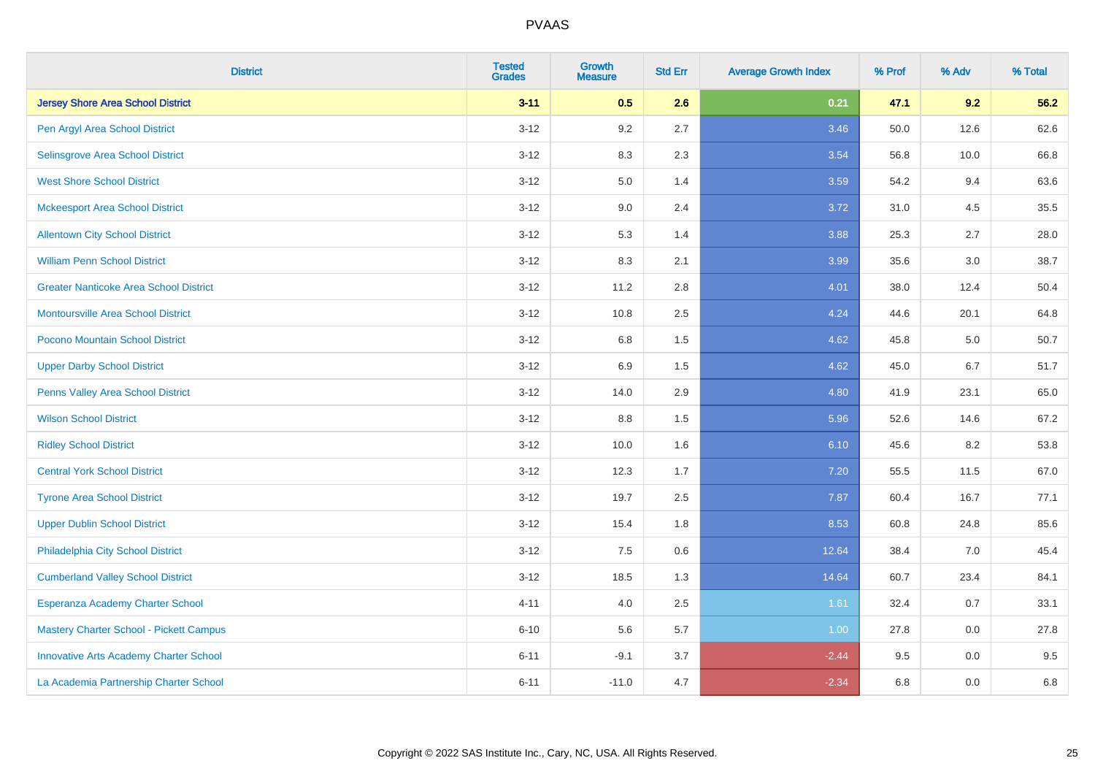| <b>District</b>                               | <b>Tested</b><br><b>Grades</b> | <b>Growth</b><br><b>Measure</b> | <b>Std Err</b> | <b>Average Growth Index</b> | % Prof | % Adv | % Total |
|-----------------------------------------------|--------------------------------|---------------------------------|----------------|-----------------------------|--------|-------|---------|
| <b>Jersey Shore Area School District</b>      | $3 - 11$                       | 0.5                             | 2.6            | 0.21                        | 47.1   | 9.2   | 56.2    |
| Pen Argyl Area School District                | $3 - 12$                       | $9.2\,$                         | 2.7            | 3.46                        | 50.0   | 12.6  | 62.6    |
| Selinsgrove Area School District              | $3 - 12$                       | 8.3                             | 2.3            | 3.54                        | 56.8   | 10.0  | 66.8    |
| <b>West Shore School District</b>             | $3 - 12$                       | $5.0\,$                         | 1.4            | 3.59                        | 54.2   | 9.4   | 63.6    |
| <b>Mckeesport Area School District</b>        | $3 - 12$                       | 9.0                             | 2.4            | 3.72                        | 31.0   | 4.5   | 35.5    |
| <b>Allentown City School District</b>         | $3 - 12$                       | 5.3                             | 1.4            | 3.88                        | 25.3   | 2.7   | 28.0    |
| <b>William Penn School District</b>           | $3-12$                         | 8.3                             | 2.1            | 3.99                        | 35.6   | 3.0   | 38.7    |
| <b>Greater Nanticoke Area School District</b> | $3 - 12$                       | 11.2                            | 2.8            | 4.01                        | 38.0   | 12.4  | 50.4    |
| Montoursville Area School District            | $3 - 12$                       | 10.8                            | 2.5            | 4.24                        | 44.6   | 20.1  | 64.8    |
| Pocono Mountain School District               | $3 - 12$                       | 6.8                             | 1.5            | 4.62                        | 45.8   | 5.0   | 50.7    |
| <b>Upper Darby School District</b>            | $3 - 12$                       | 6.9                             | 1.5            | 4.62                        | 45.0   | 6.7   | 51.7    |
| Penns Valley Area School District             | $3 - 12$                       | 14.0                            | 2.9            | 4.80                        | 41.9   | 23.1  | 65.0    |
| <b>Wilson School District</b>                 | $3 - 12$                       | 8.8                             | 1.5            | 5.96                        | 52.6   | 14.6  | 67.2    |
| <b>Ridley School District</b>                 | $3-12$                         | 10.0                            | 1.6            | 6.10                        | 45.6   | 8.2   | 53.8    |
| <b>Central York School District</b>           | $3 - 12$                       | 12.3                            | 1.7            | 7.20                        | 55.5   | 11.5  | 67.0    |
| <b>Tyrone Area School District</b>            | $3 - 12$                       | 19.7                            | 2.5            | 7.87                        | 60.4   | 16.7  | 77.1    |
| <b>Upper Dublin School District</b>           | $3-12$                         | 15.4                            | 1.8            | 8.53                        | 60.8   | 24.8  | 85.6    |
| Philadelphia City School District             | $3 - 12$                       | 7.5                             | 0.6            | 12.64                       | 38.4   | 7.0   | 45.4    |
| <b>Cumberland Valley School District</b>      | $3 - 12$                       | 18.5                            | 1.3            | 14.64                       | 60.7   | 23.4  | 84.1    |
| Esperanza Academy Charter School              | $4 - 11$                       | 4.0                             | 2.5            | 1.61                        | 32.4   | 0.7   | 33.1    |
| Mastery Charter School - Pickett Campus       | $6 - 10$                       | 5.6                             | 5.7            | 1.00                        | 27.8   | 0.0   | 27.8    |
| <b>Innovative Arts Academy Charter School</b> | $6 - 11$                       | $-9.1$                          | 3.7            | $-2.44$                     | 9.5    | 0.0   | 9.5     |
| La Academia Partnership Charter School        | $6 - 11$                       | $-11.0$                         | 4.7            | $-2.34$                     | 6.8    | 0.0   | 6.8     |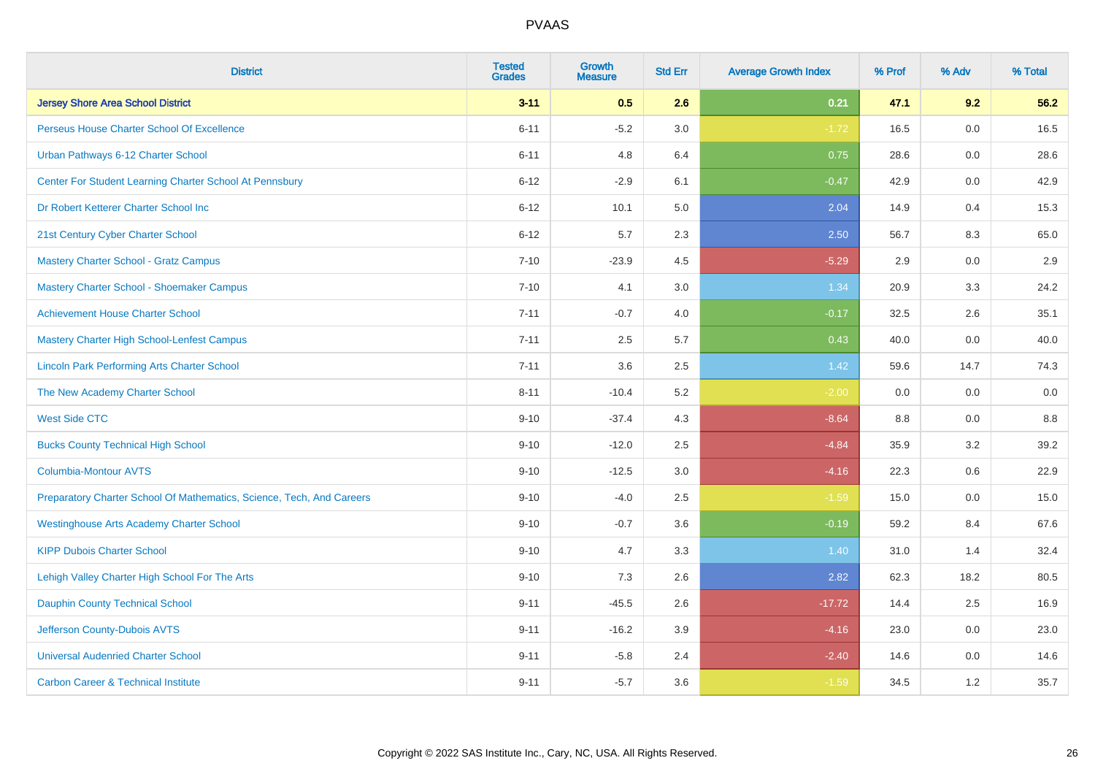| <b>District</b>                                                       | <b>Tested</b><br><b>Grades</b> | <b>Growth</b><br><b>Measure</b> | <b>Std Err</b> | <b>Average Growth Index</b> | % Prof | % Adv | % Total |
|-----------------------------------------------------------------------|--------------------------------|---------------------------------|----------------|-----------------------------|--------|-------|---------|
| <b>Jersey Shore Area School District</b>                              | $3 - 11$                       | 0.5                             | 2.6            | 0.21                        | 47.1   | 9.2   | 56.2    |
| Perseus House Charter School Of Excellence                            | $6 - 11$                       | $-5.2$                          | 3.0            | $-1.72$                     | 16.5   | 0.0   | 16.5    |
| Urban Pathways 6-12 Charter School                                    | $6 - 11$                       | 4.8                             | 6.4            | 0.75                        | 28.6   | 0.0   | 28.6    |
| Center For Student Learning Charter School At Pennsbury               | $6 - 12$                       | $-2.9$                          | 6.1            | $-0.47$                     | 42.9   | 0.0   | 42.9    |
| Dr Robert Ketterer Charter School Inc                                 | $6 - 12$                       | 10.1                            | 5.0            | 2.04                        | 14.9   | 0.4   | 15.3    |
| 21st Century Cyber Charter School                                     | $6 - 12$                       | 5.7                             | 2.3            | 2.50                        | 56.7   | 8.3   | 65.0    |
| <b>Mastery Charter School - Gratz Campus</b>                          | $7 - 10$                       | $-23.9$                         | 4.5            | $-5.29$                     | 2.9    | 0.0   | 2.9     |
| Mastery Charter School - Shoemaker Campus                             | $7 - 10$                       | 4.1                             | 3.0            | 1.34                        | 20.9   | 3.3   | 24.2    |
| <b>Achievement House Charter School</b>                               | $7 - 11$                       | $-0.7$                          | 4.0            | $-0.17$                     | 32.5   | 2.6   | 35.1    |
| <b>Mastery Charter High School-Lenfest Campus</b>                     | $7 - 11$                       | 2.5                             | 5.7            | 0.43                        | 40.0   | 0.0   | 40.0    |
| <b>Lincoln Park Performing Arts Charter School</b>                    | $7 - 11$                       | 3.6                             | 2.5            | 1.42                        | 59.6   | 14.7  | 74.3    |
| The New Academy Charter School                                        | $8 - 11$                       | $-10.4$                         | 5.2            | $-2.00$                     | 0.0    | 0.0   | 0.0     |
| <b>West Side CTC</b>                                                  | $9 - 10$                       | $-37.4$                         | 4.3            | $-8.64$                     | 8.8    | 0.0   | 8.8     |
| <b>Bucks County Technical High School</b>                             | $9 - 10$                       | $-12.0$                         | 2.5            | $-4.84$                     | 35.9   | 3.2   | 39.2    |
| <b>Columbia-Montour AVTS</b>                                          | $9 - 10$                       | $-12.5$                         | 3.0            | $-4.16$                     | 22.3   | 0.6   | 22.9    |
| Preparatory Charter School Of Mathematics, Science, Tech, And Careers | $9 - 10$                       | $-4.0$                          | 2.5            | $-1.59$                     | 15.0   | 0.0   | 15.0    |
| <b>Westinghouse Arts Academy Charter School</b>                       | $9 - 10$                       | $-0.7$                          | 3.6            | $-0.19$                     | 59.2   | 8.4   | 67.6    |
| <b>KIPP Dubois Charter School</b>                                     | $9 - 10$                       | 4.7                             | 3.3            | 1.40                        | 31.0   | 1.4   | 32.4    |
| Lehigh Valley Charter High School For The Arts                        | $9 - 10$                       | 7.3                             | 2.6            | 2.82                        | 62.3   | 18.2  | 80.5    |
| <b>Dauphin County Technical School</b>                                | $9 - 11$                       | $-45.5$                         | 2.6            | $-17.72$                    | 14.4   | 2.5   | 16.9    |
| Jefferson County-Dubois AVTS                                          | $9 - 11$                       | $-16.2$                         | 3.9            | $-4.16$                     | 23.0   | 0.0   | 23.0    |
| <b>Universal Audenried Charter School</b>                             | $9 - 11$                       | $-5.8$                          | 2.4            | $-2.40$                     | 14.6   | 0.0   | 14.6    |
| <b>Carbon Career &amp; Technical Institute</b>                        | $9 - 11$                       | $-5.7$                          | 3.6            | $-1.59$                     | 34.5   | 1.2   | 35.7    |